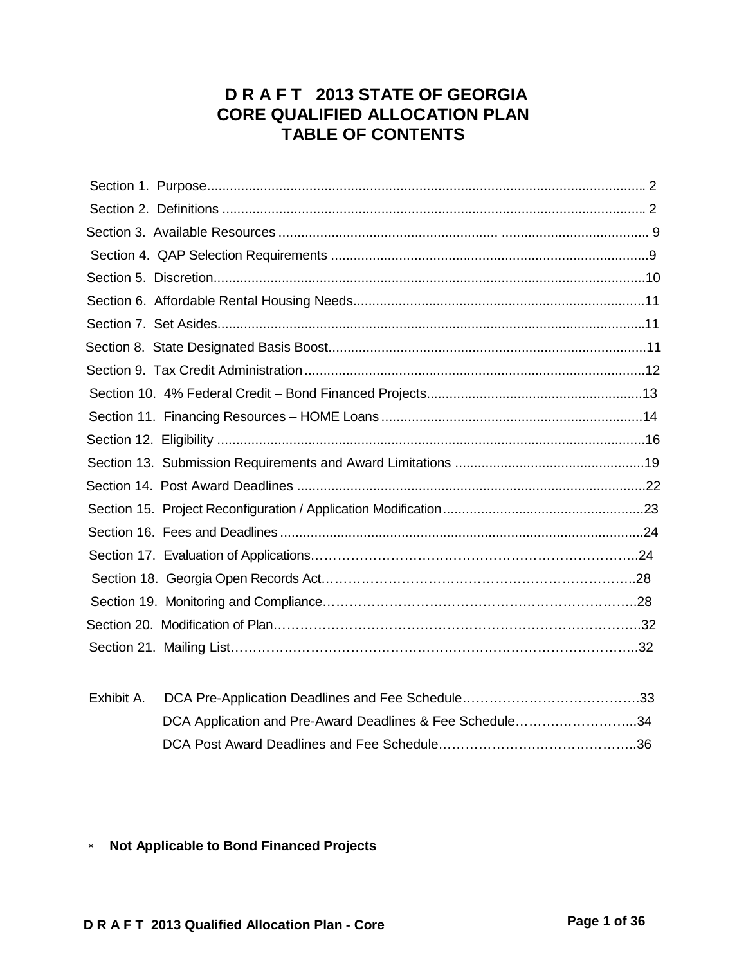# **D R A F T 2013 STATE OF GEORGIA CORE QUALIFIED ALLOCATION PLAN TABLE OF CONTENTS**

| DCA Application and Pre-Award Deadlines & Fee Schedule34 |  |
|----------------------------------------------------------|--|
|                                                          |  |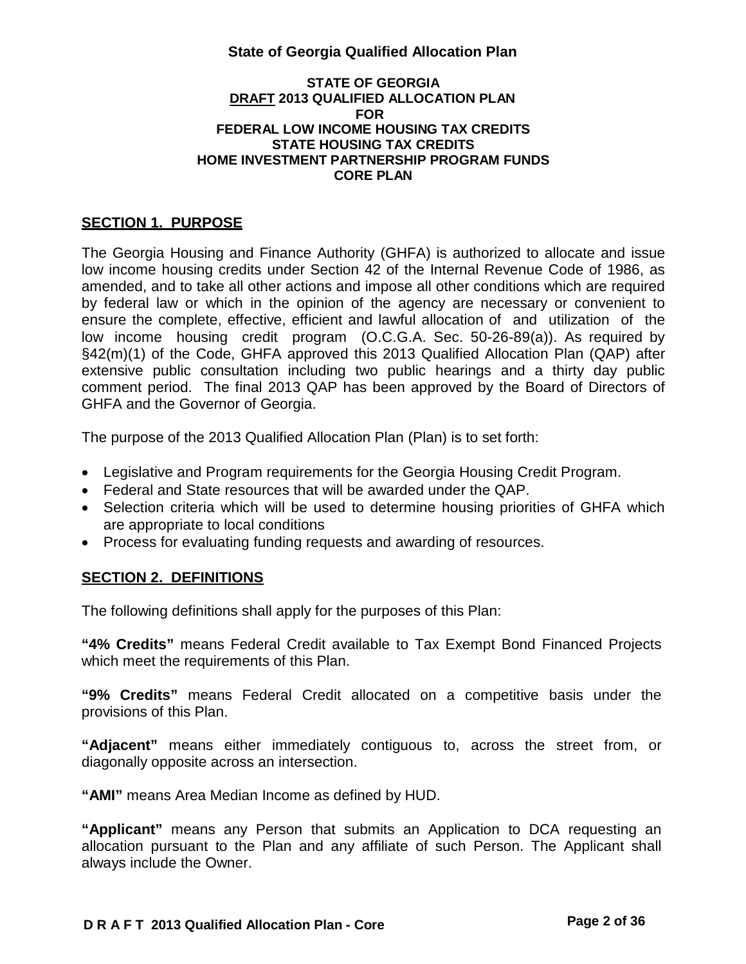#### **STATE OF GEORGIA DRAFT 2013 QUALIFIED ALLOCATION PLAN FOR FEDERAL LOW INCOME HOUSING TAX CREDITS STATE HOUSING TAX CREDITS HOME INVESTMENT PARTNERSHIP PROGRAM FUNDS CORE PLAN**

## **SECTION 1. PURPOSE**

The Georgia Housing and Finance Authority (GHFA) is authorized to allocate and issue low income housing credits under Section 42 of the Internal Revenue Code of 1986, as amended, and to take all other actions and impose all other conditions which are required by federal law or which in the opinion of the agency are necessary or convenient to ensure the complete, effective, efficient and lawful allocation of and utilization of the low income housing credit program (O.C.G.A. Sec. 50-26-89(a)). As required by §42(m)(1) of the Code, GHFA approved this 2013 Qualified Allocation Plan (QAP) after extensive public consultation including two public hearings and a thirty day public comment period. The final 2013 QAP has been approved by the Board of Directors of GHFA and the Governor of Georgia.

The purpose of the 2013 Qualified Allocation Plan (Plan) is to set forth:

- Legislative and Program requirements for the Georgia Housing Credit Program.
- Federal and State resources that will be awarded under the QAP.
- Selection criteria which will be used to determine housing priorities of GHFA which are appropriate to local conditions
- Process for evaluating funding requests and awarding of resources.

## **SECTION 2. DEFINITIONS**

The following definitions shall apply for the purposes of this Plan:

**"4% Credits"** means Federal Credit available to Tax Exempt Bond Financed Projects which meet the requirements of this Plan.

**"9% Credits"** means Federal Credit allocated on a competitive basis under the provisions of this Plan.

**"Adjacent"** means either immediately contiguous to, across the street from, or diagonally opposite across an intersection.

**"AMI"** means Area Median Income as defined by HUD.

**"Applicant"** means any Person that submits an Application to DCA requesting an allocation pursuant to the Plan and any affiliate of such Person. The Applicant shall always include the Owner.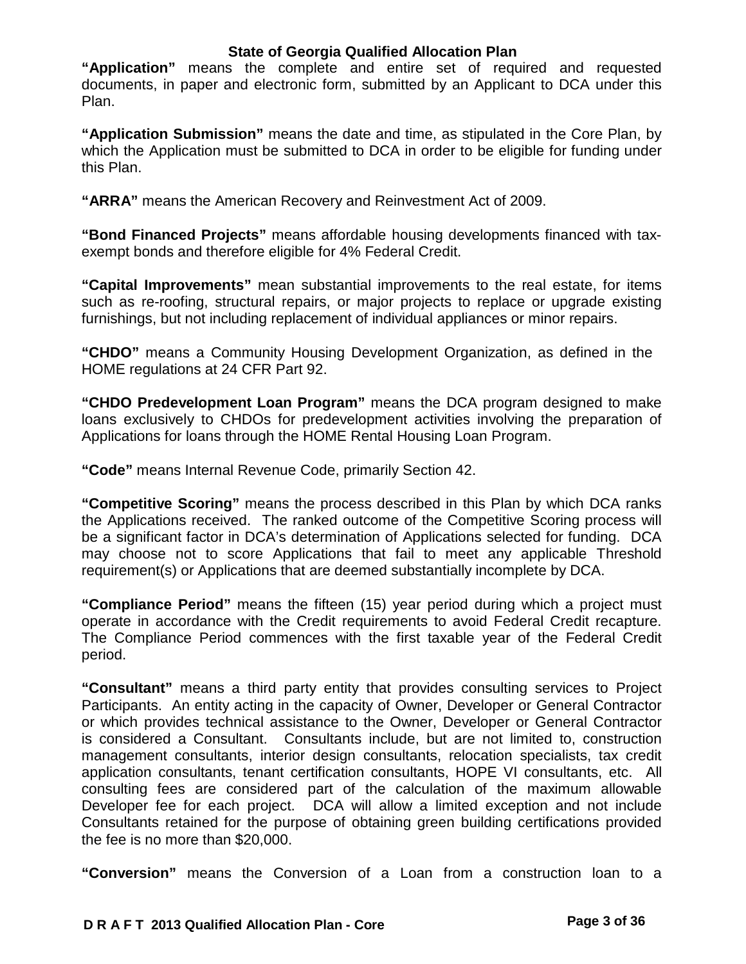**"Application"** means the complete and entire set of required and requested documents, in paper and electronic form, submitted by an Applicant to DCA under this Plan.

**"Application Submission"** means the date and time, as stipulated in the Core Plan, by which the Application must be submitted to DCA in order to be eligible for funding under this Plan.

**"ARRA"** means the American Recovery and Reinvestment Act of 2009.

**"Bond Financed Projects"** means affordable housing developments financed with taxexempt bonds and therefore eligible for 4% Federal Credit.

**"Capital Improvements"** mean substantial improvements to the real estate, for items such as re-roofing, structural repairs, or major projects to replace or upgrade existing furnishings, but not including replacement of individual appliances or minor repairs.

**"CHDO"** means a Community Housing Development Organization, as defined in the HOME regulations at 24 CFR Part 92.

**"CHDO Predevelopment Loan Program"** means the DCA program designed to make loans exclusively to CHDOs for predevelopment activities involving the preparation of Applications for loans through the HOME Rental Housing Loan Program.

**"Code"** means Internal Revenue Code, primarily Section 42.

**"Competitive Scoring"** means the process described in this Plan by which DCA ranks the Applications received. The ranked outcome of the Competitive Scoring process will be a significant factor in DCA's determination of Applications selected for funding. DCA may choose not to score Applications that fail to meet any applicable Threshold requirement(s) or Applications that are deemed substantially incomplete by DCA.

**"Compliance Period"** means the fifteen (15) year period during which a project must operate in accordance with the Credit requirements to avoid Federal Credit recapture. The Compliance Period commences with the first taxable year of the Federal Credit period.

**"Consultant"** means a third party entity that provides consulting services to Project Participants. An entity acting in the capacity of Owner, Developer or General Contractor or which provides technical assistance to the Owner, Developer or General Contractor is considered a Consultant. Consultants include, but are not limited to, construction management consultants, interior design consultants, relocation specialists, tax credit application consultants, tenant certification consultants, HOPE VI consultants, etc. All consulting fees are considered part of the calculation of the maximum allowable Developer fee for each project. DCA will allow a limited exception and not include Consultants retained for the purpose of obtaining green building certifications provided the fee is no more than \$20,000.

**"Conversion"** means the Conversion of a Loan from a construction loan to a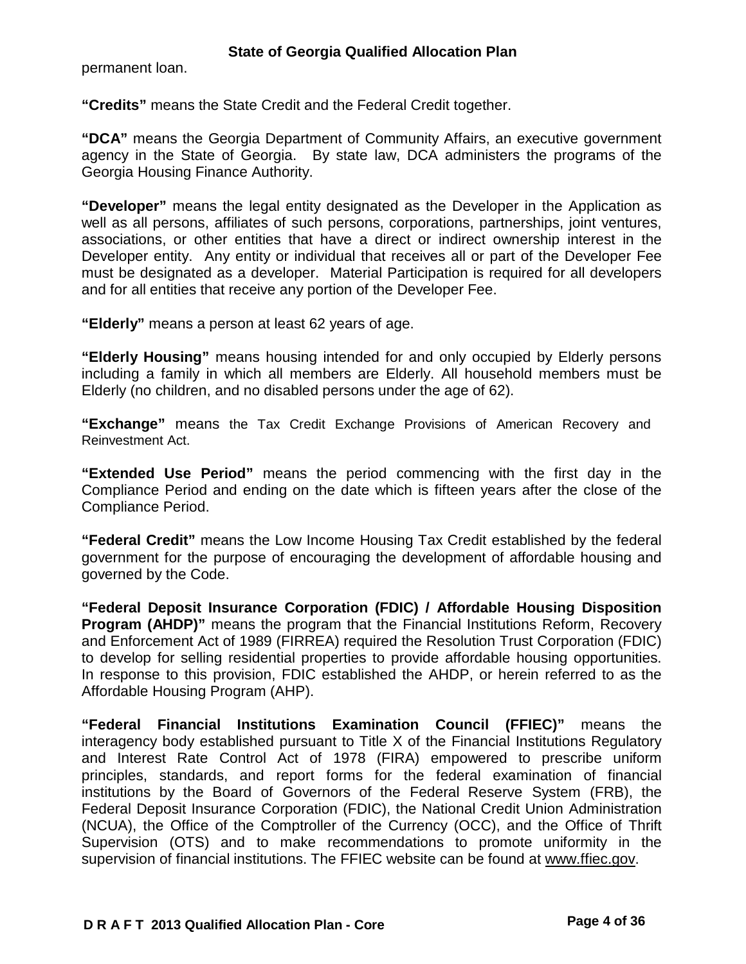permanent loan.

**"Credits"** means the State Credit and the Federal Credit together.

**"DCA"** means the Georgia Department of Community Affairs, an executive government agency in the State of Georgia. By state law, DCA administers the programs of the Georgia Housing Finance Authority.

**"Developer"** means the legal entity designated as the Developer in the Application as well as all persons, affiliates of such persons, corporations, partnerships, joint ventures, associations, or other entities that have a direct or indirect ownership interest in the Developer entity. Any entity or individual that receives all or part of the Developer Fee must be designated as a developer. Material Participation is required for all developers and for all entities that receive any portion of the Developer Fee.

**"Elderly"** means a person at least 62 years of age.

**"Elderly Housing"** means housing intended for and only occupied by Elderly persons including a family in which all members are Elderly. All household members must be Elderly (no children, and no disabled persons under the age of 62).

**"Exchange"** means the Tax Credit Exchange Provisions of American Recovery and Reinvestment Act.

**"Extended Use Period"** means the period commencing with the first day in the Compliance Period and ending on the date which is fifteen years after the close of the Compliance Period.

**"Federal Credit"** means the Low Income Housing Tax Credit established by the federal government for the purpose of encouraging the development of affordable housing and governed by the Code.

**"Federal Deposit Insurance Corporation (FDIC) / Affordable Housing Disposition Program (AHDP)"** means the program that the Financial Institutions Reform, Recovery and Enforcement Act of 1989 (FIRREA) required the Resolution Trust Corporation (FDIC) to develop for selling residential properties to provide affordable housing opportunities. In response to this provision, FDIC established the AHDP, or herein referred to as the Affordable Housing Program (AHP).

**"Federal Financial Institutions Examination Council (FFIEC)"** means the interagency body established pursuant to Title X of the Financial Institutions Regulatory and Interest Rate Control Act of 1978 (FIRA) empowered to prescribe uniform principles, standards, and report forms for the federal examination of financial institutions by the Board of Governors of the Federal Reserve System (FRB), the Federal Deposit Insurance Corporation (FDIC), the National Credit Union Administration (NCUA), the Office of the Comptroller of the Currency (OCC), and the Office of Thrift Supervision (OTS) and to make recommendations to promote uniformity in the supervision of financial institutions. The FFIEC website can be found at [www.ffiec.gov.](http://www.ffiec.gov/)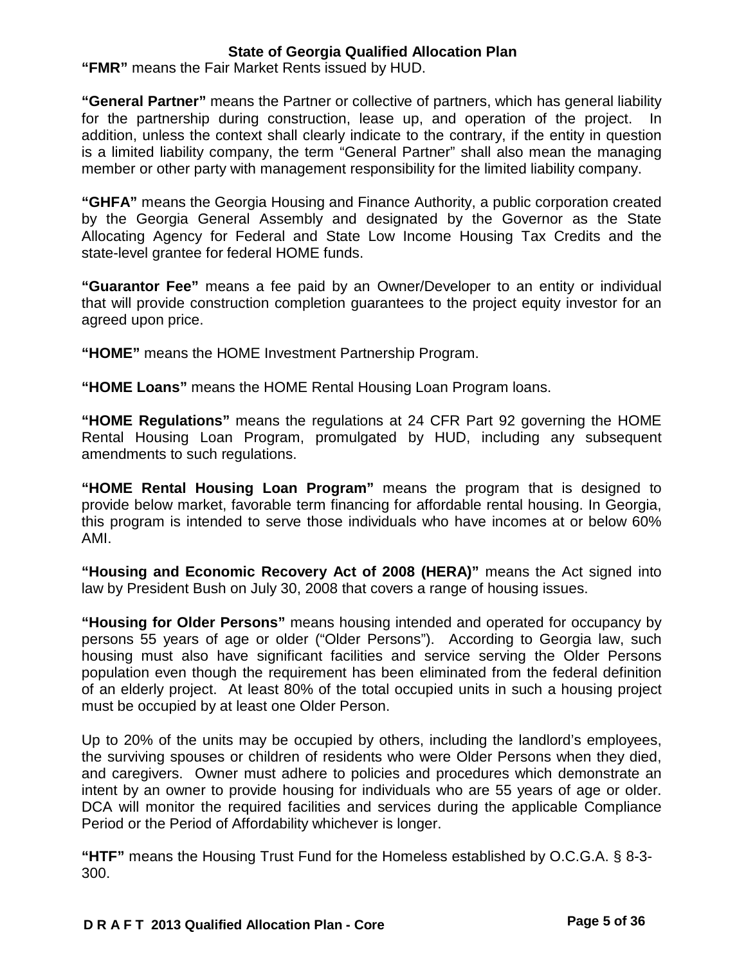**"FMR"** means the Fair Market Rents issued by HUD.

**"General Partner"** means the Partner or collective of partners, which has general liability for the partnership during construction, lease up, and operation of the project. In addition, unless the context shall clearly indicate to the contrary, if the entity in question is a limited liability company, the term "General Partner" shall also mean the managing member or other party with management responsibility for the limited liability company.

**"GHFA"** means the Georgia Housing and Finance Authority, a public corporation created by the Georgia General Assembly and designated by the Governor as the State Allocating Agency for Federal and State Low Income Housing Tax Credits and the state-level grantee for federal HOME funds.

**"Guarantor Fee"** means a fee paid by an Owner/Developer to an entity or individual that will provide construction completion guarantees to the project equity investor for an agreed upon price.

**"HOME"** means the HOME Investment Partnership Program.

**"HOME Loans"** means the HOME Rental Housing Loan Program loans.

**"HOME Regulations"** means the regulations at 24 CFR Part 92 governing the HOME Rental Housing Loan Program, promulgated by HUD, including any subsequent amendments to such regulations.

**"HOME Rental Housing Loan Program"** means the program that is designed to provide below market, favorable term financing for affordable rental housing. In Georgia, this program is intended to serve those individuals who have incomes at or below 60% AMI.

**"Housing and Economic Recovery Act of 2008 (HERA)"** means the Act signed into law by President Bush on July 30, 2008 that covers a range of housing issues.

**"Housing for Older Persons"** means housing intended and operated for occupancy by persons 55 years of age or older ("Older Persons"). According to Georgia law, such housing must also have significant facilities and service serving the Older Persons population even though the requirement has been eliminated from the federal definition of an elderly project. At least 80% of the total occupied units in such a housing project must be occupied by at least one Older Person.

Up to 20% of the units may be occupied by others, including the landlord's employees, the surviving spouses or children of residents who were Older Persons when they died, and caregivers. Owner must adhere to policies and procedures which demonstrate an intent by an owner to provide housing for individuals who are 55 years of age or older. DCA will monitor the required facilities and services during the applicable Compliance Period or the Period of Affordability whichever is longer.

**"HTF"** means the Housing Trust Fund for the Homeless established by O.C.G.A. § 8-3- 300.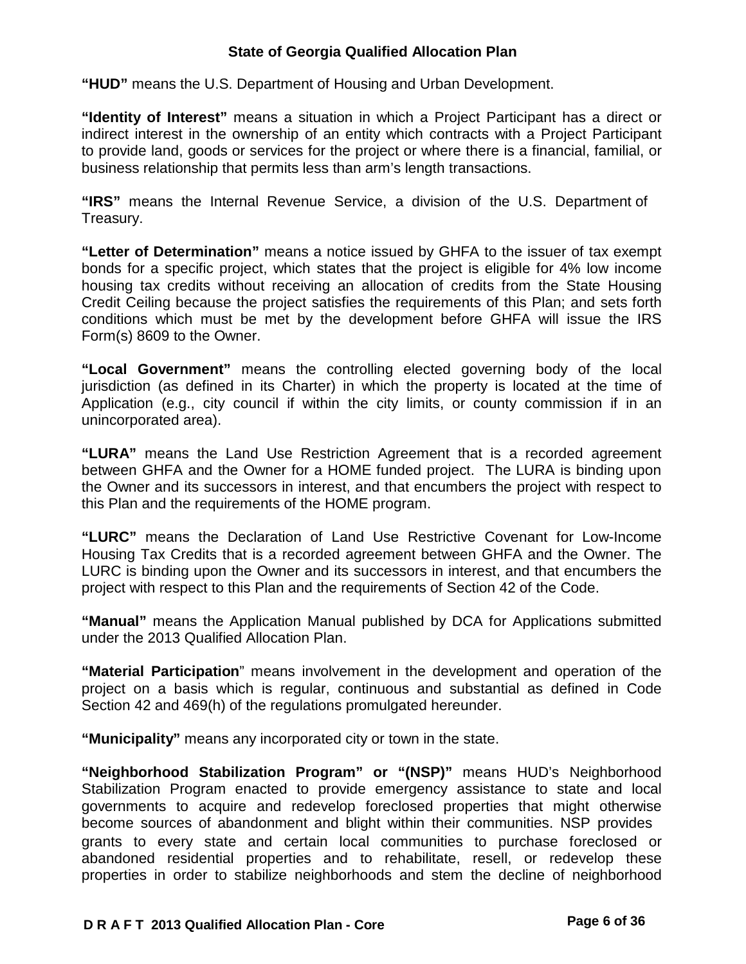**"HUD"** means the U.S. Department of Housing and Urban Development.

**"Identity of Interest"** means a situation in which a Project Participant has a direct or indirect interest in the ownership of an entity which contracts with a Project Participant to provide land, goods or services for the project or where there is a financial, familial, or business relationship that permits less than arm's length transactions.

**"IRS"** means the Internal Revenue Service, a division of the U.S. Department of Treasury.

**"Letter of Determination"** means a notice issued by GHFA to the issuer of tax exempt bonds for a specific project, which states that the project is eligible for 4% low income housing tax credits without receiving an allocation of credits from the State Housing Credit Ceiling because the project satisfies the requirements of this Plan; and sets forth conditions which must be met by the development before GHFA will issue the IRS Form(s) 8609 to the Owner.

**"Local Government"** means the controlling elected governing body of the local jurisdiction (as defined in its Charter) in which the property is located at the time of Application (e.g., city council if within the city limits, or county commission if in an unincorporated area).

**"LURA"** means the Land Use Restriction Agreement that is a recorded agreement between GHFA and the Owner for a HOME funded project. The LURA is binding upon the Owner and its successors in interest, and that encumbers the project with respect to this Plan and the requirements of the HOME program.

**"LURC"** means the Declaration of Land Use Restrictive Covenant for Low-Income Housing Tax Credits that is a recorded agreement between GHFA and the Owner. The LURC is binding upon the Owner and its successors in interest, and that encumbers the project with respect to this Plan and the requirements of Section 42 of the Code.

**"Manual"** means the Application Manual published by DCA for Applications submitted under the 2013 Qualified Allocation Plan.

**"Material Participation**" means involvement in the development and operation of the project on a basis which is regular, continuous and substantial as defined in Code Section 42 and 469(h) of the regulations promulgated hereunder.

**"Municipality"** means any incorporated city or town in the state.

**"Neighborhood Stabilization Program" or "(NSP)"** means HUD's Neighborhood Stabilization Program enacted to provide emergency assistance to state and local governments to acquire and redevelop foreclosed properties that might otherwise become sources of abandonment and blight within their communities. NSP provides grants to every state and certain local communities to purchase foreclosed or abandoned residential properties and to rehabilitate, resell, or redevelop these properties in order to stabilize neighborhoods and stem the decline of neighborhood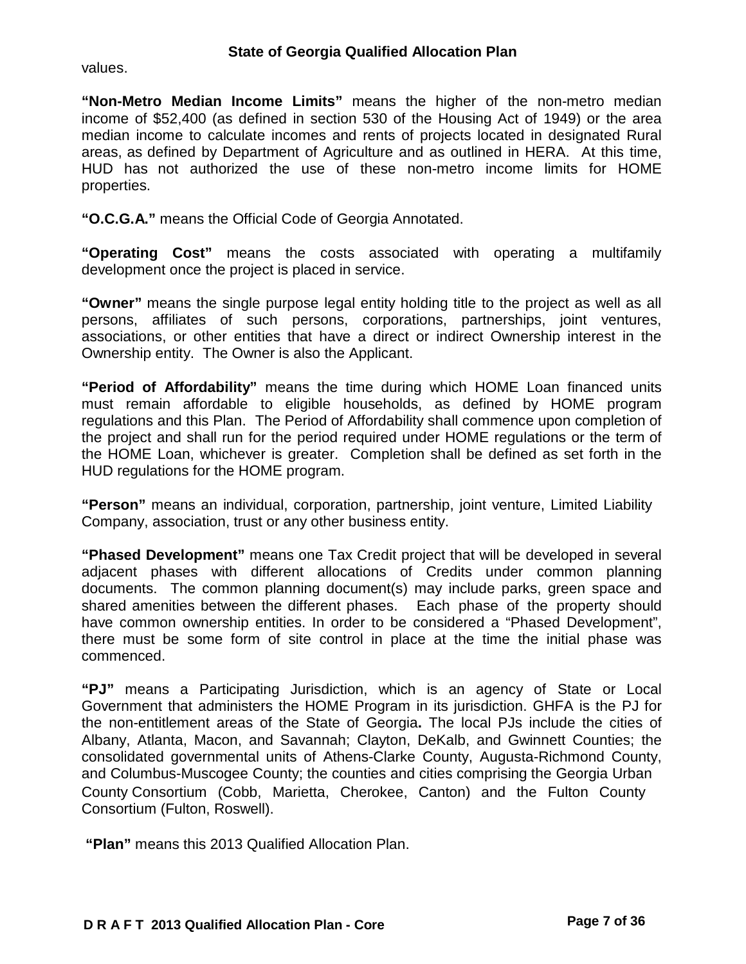values.

**"Non-Metro Median Income Limits"** means the higher of the non-metro median income of \$52,400 (as defined in section 530 of the Housing Act of 1949) or the area median income to calculate incomes and rents of projects located in designated Rural areas, as defined by Department of Agriculture and as outlined in HERA. At this time, HUD has not authorized the use of these non-metro income limits for HOME properties.

**"O.C.G.A."** means the Official Code of Georgia Annotated.

**"Operating Cost"** means the costs associated with operating a multifamily development once the project is placed in service.

**"Owner"** means the single purpose legal entity holding title to the project as well as all persons, affiliates of such persons, corporations, partnerships, joint ventures, associations, or other entities that have a direct or indirect Ownership interest in the Ownership entity. The Owner is also the Applicant.

**"Period of Affordability"** means the time during which HOME Loan financed units must remain affordable to eligible households, as defined by HOME program regulations and this Plan. The Period of Affordability shall commence upon completion of the project and shall run for the period required under HOME regulations or the term of the HOME Loan, whichever is greater. Completion shall be defined as set forth in the HUD regulations for the HOME program.

**"Person"** means an individual, corporation, partnership, joint venture, Limited Liability Company, association, trust or any other business entity.

**"Phased Development"** means one Tax Credit project that will be developed in several adjacent phases with different allocations of Credits under common planning documents. The common planning document(s) may include parks, green space and shared amenities between the different phases. Each phase of the property should have common ownership entities. In order to be considered a "Phased Development", there must be some form of site control in place at the time the initial phase was commenced.

**"PJ"** means a Participating Jurisdiction, which is an agency of State or Local Government that administers the HOME Program in its jurisdiction. GHFA is the PJ for the non-entitlement areas of the State of Georgia**.** The local PJs include the cities of Albany, Atlanta, Macon, and Savannah; Clayton, DeKalb, and Gwinnett Counties; the consolidated governmental units of Athens-Clarke County, Augusta-Richmond County, and Columbus-Muscogee County; the counties and cities comprising the Georgia Urban County Consortium (Cobb, Marietta, Cherokee, Canton) and the Fulton County Consortium (Fulton, Roswell).

**"Plan"** means this 2013 Qualified Allocation Plan.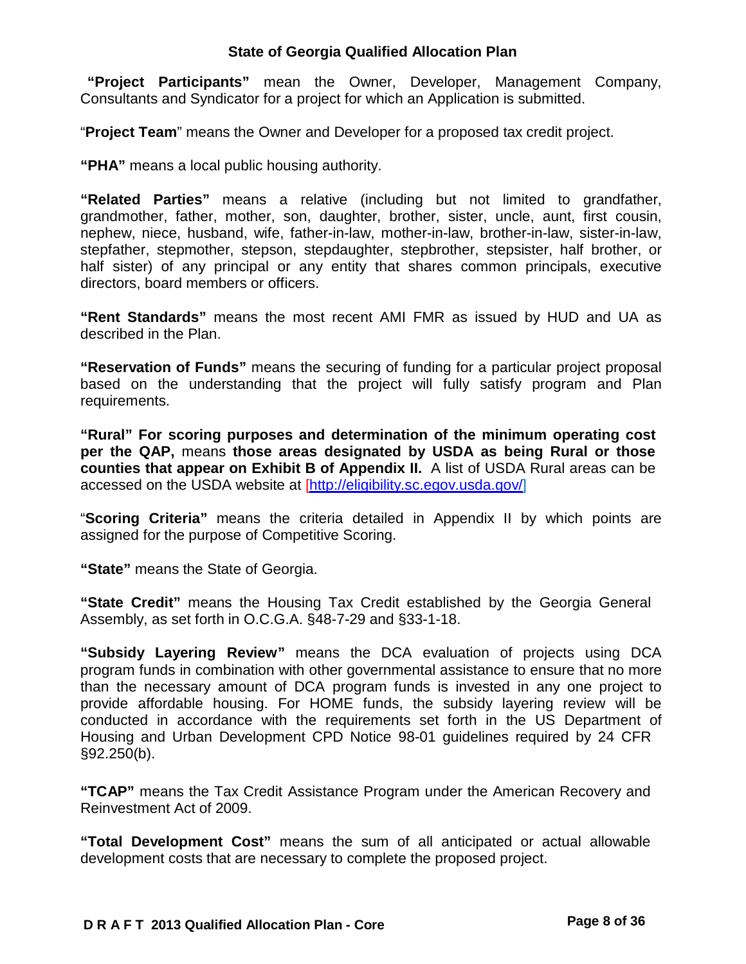**"Project Participants"** mean the Owner, Developer, Management Company, Consultants and Syndicator for a project for which an Application is submitted.

"**Project Team**" means the Owner and Developer for a proposed tax credit project.

**"PHA"** means a local public housing authority.

**"Related Parties"** means a relative (including but not limited to grandfather, grandmother, father, mother, son, daughter, brother, sister, uncle, aunt, first cousin, nephew, niece, husband, wife, father-in-law, mother-in-law, brother-in-law, sister-in-law, stepfather, stepmother, stepson, stepdaughter, stepbrother, stepsister, half brother, or half sister) of any principal or any entity that shares common principals, executive directors, board members or officers.

**"Rent Standards"** means the most recent AMI FMR as issued by HUD and UA as described in the Plan.

**"Reservation of Funds"** means the securing of funding for a particular project proposal based on the understanding that the project will fully satisfy program and Plan requirements.

**"Rural" For scoring purposes and determination of the minimum operating cost per the QAP,** means **those areas designated by USDA as being Rural or those counties that appear on Exhibit B of Appendix II.** A list of USDA Rural areas can be accessed on the USDA website at [\[http://eligibility.sc.egov.usda.gov/\]](http://eligibility.sc.egov.usda.gov/)

"**Scoring Criteria"** means the criteria detailed in Appendix II by which points are assigned for the purpose of Competitive Scoring.

**"State"** means the State of Georgia.

**"State Credit"** means the Housing Tax Credit established by the Georgia General Assembly, as set forth in O.C.G.A. §48-7-29 and §33-1-18.

**"Subsidy Layering Review"** means the DCA evaluation of projects using DCA program funds in combination with other governmental assistance to ensure that no more than the necessary amount of DCA program funds is invested in any one project to provide affordable housing. For HOME funds, the subsidy layering review will be conducted in accordance with the requirements set forth in the US Department of Housing and Urban Development CPD Notice 98-01 guidelines required by 24 CFR §92.250(b).

**"TCAP"** means the Tax Credit Assistance Program under the American Recovery and Reinvestment Act of 2009.

**"Total Development Cost"** means the sum of all anticipated or actual allowable development costs that are necessary to complete the proposed project.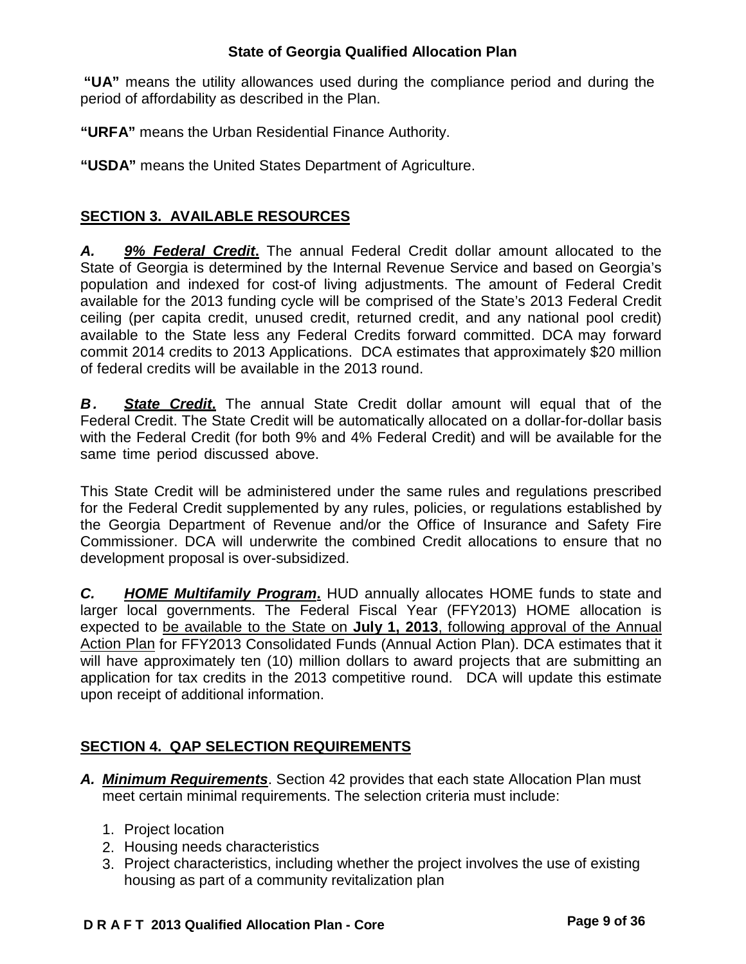**"UA"** means the utility allowances used during the compliance period and during the period of affordability as described in the Plan.

**"URFA"** means the Urban Residential Finance Authority.

**"USDA"** means the United States Department of Agriculture.

## **SECTION 3. AVAILABLE RESOURCES**

*A. 9% Federal Credit***.** The annual Federal Credit dollar amount allocated to the State of Georgia is determined by the Internal Revenue Service and based on Georgia's population and indexed for cost-of living adjustments. The amount of Federal Credit available for the 2013 funding cycle will be comprised of the State's 2013 Federal Credit ceiling (per capita credit, unused credit, returned credit, and any national pool credit) available to the State less any Federal Credits forward committed. DCA may forward commit 2014 credits to 2013 Applications. DCA estimates that approximately \$20 million of federal credits will be available in the 2013 round.

**B.** State Credit. The annual State Credit dollar amount will equal that of the Federal Credit. The State Credit will be automatically allocated on a dollar-for-dollar basis with the Federal Credit (for both 9% and 4% Federal Credit) and will be available for the same time period discussed above.

This State Credit will be administered under the same rules and regulations prescribed for the Federal Credit supplemented by any rules, policies, or regulations established by the Georgia Department of Revenue and/or the Office of Insurance and Safety Fire Commissioner. DCA will underwrite the combined Credit allocations to ensure that no development proposal is over-subsidized.

*C. HOME Multifamily Program***.** HUD annually allocates HOME funds to state and larger local governments. The Federal Fiscal Year (FFY2013) HOME allocation is expected to be available to the State on **July 1, 2013**, following approval of the Annual Action Plan for FFY2013 Consolidated Funds (Annual Action Plan). DCA estimates that it will have approximately ten (10) million dollars to award projects that are submitting an application for tax credits in the 2013 competitive round. DCA will update this estimate upon receipt of additional information.

# **SECTION 4. QAP SELECTION REQUIREMENTS**

- *A. Minimum Requirements*. Section 42 provides that each state Allocation Plan must meet certain minimal requirements. The selection criteria must include:
	- 1. Project location
	- 2. Housing needs characteristics
	- 3. Project characteristics, including whether the project involves the use of existing housing as part of a community revitalization plan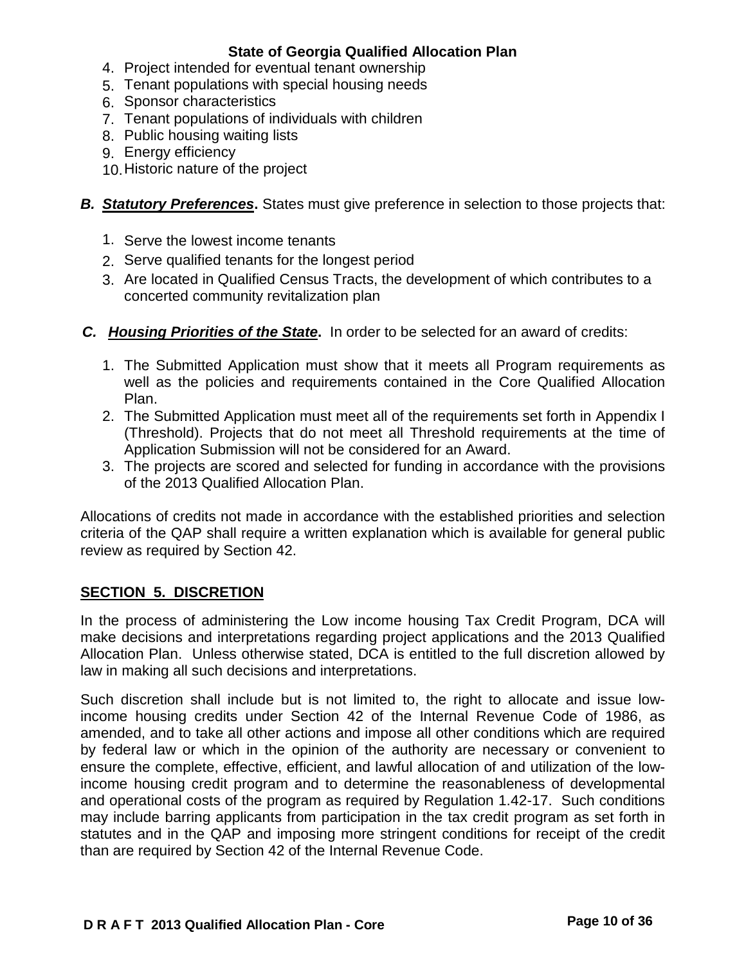- 4. Project intended for eventual tenant ownership
- 5. Tenant populations with special housing needs
- 6. Sponsor characteristics
- 7. Tenant populations of individuals with children
- 8. Public housing waiting lists
- 9. Energy efficiency
- 10.Historic nature of the project
- *B. Statutory Preferences***.** States must give preference in selection to those projects that:
	- 1. Serve the lowest income tenants
	- 2. Serve qualified tenants for the longest period
	- 3. Are located in Qualified Census Tracts, the development of which contributes to a concerted community revitalization plan
- *C. Housing Priorities of the State***.** In order to be selected for an award of credits:
	- 1. The Submitted Application must show that it meets all Program requirements as well as the policies and requirements contained in the Core Qualified Allocation Plan.
	- 2. The Submitted Application must meet all of the requirements set forth in Appendix I (Threshold). Projects that do not meet all Threshold requirements at the time of Application Submission will not be considered for an Award.
	- 3. The projects are scored and selected for funding in accordance with the provisions of the 2013 Qualified Allocation Plan.

Allocations of credits not made in accordance with the established priorities and selection criteria of the QAP shall require a written explanation which is available for general public review as required by Section 42.

# **SECTION 5. DISCRETION**

In the process of administering the Low income housing Tax Credit Program, DCA will make decisions and interpretations regarding project applications and the 2013 Qualified Allocation Plan. Unless otherwise stated, DCA is entitled to the full discretion allowed by law in making all such decisions and interpretations.

Such discretion shall include but is not limited to, the right to allocate and issue lowincome housing credits under Section 42 of the Internal Revenue Code of 1986, as amended, and to take all other actions and impose all other conditions which are required by federal law or which in the opinion of the authority are necessary or convenient to ensure the complete, effective, efficient, and lawful allocation of and utilization of the lowincome housing credit program and to determine the reasonableness of developmental and operational costs of the program as required by Regulation 1.42-17. Such conditions may include barring applicants from participation in the tax credit program as set forth in statutes and in the QAP and imposing more stringent conditions for receipt of the credit than are required by Section 42 of the Internal Revenue Code.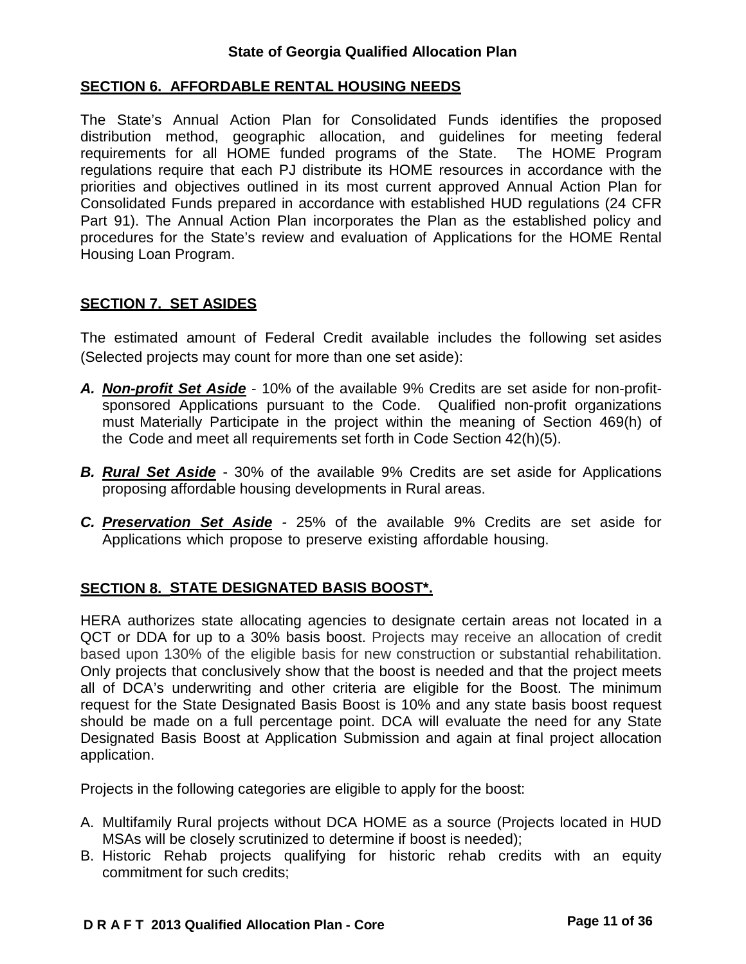### **SECTION 6. AFFORDABLE RENTAL HOUSING NEEDS**

The State's Annual Action Plan for Consolidated Funds identifies the proposed distribution method, geographic allocation, and guidelines for meeting federal requirements for all HOME funded programs of the State. The HOME Program regulations require that each PJ distribute its HOME resources in accordance with the priorities and objectives outlined in its most current approved Annual Action Plan for Consolidated Funds prepared in accordance with established HUD regulations (24 CFR Part 91). The Annual Action Plan incorporates the Plan as the established policy and procedures for the State's review and evaluation of Applications for the HOME Rental Housing Loan Program.

## **SECTION 7. SET ASIDES**

The estimated amount of Federal Credit available includes the following set asides (Selected projects may count for more than one set aside):

- *A. Non-profit Set Aside* 10% of the available 9% Credits are set aside for non-profitsponsored Applications pursuant to the Code. Qualified non-profit organizations must Materially Participate in the project within the meaning of Section 469(h) of the Code and meet all requirements set forth in Code Section 42(h)(5).
- *B. Rural Set Aside* 30% of the available 9% Credits are set aside for Applications proposing affordable housing developments in Rural areas.
- *C. Preservation Set Aside -* 25% of the available 9% Credits are set aside for Applications which propose to preserve existing affordable housing.

## **SECTION 8. STATE DESIGNATED BASIS BOOST\*.**

HERA authorizes state allocating agencies to designate certain areas not located in a QCT or DDA for up to a 30% basis boost. Projects may receive an allocation of credit based upon 130% of the eligible basis for new construction or substantial rehabilitation. Only projects that conclusively show that the boost is needed and that the project meets all of DCA's underwriting and other criteria are eligible for the Boost. The minimum request for the State Designated Basis Boost is 10% and any state basis boost request should be made on a full percentage point. DCA will evaluate the need for any State Designated Basis Boost at Application Submission and again at final project allocation application.

Projects in the following categories are eligible to apply for the boost:

- A. Multifamily Rural projects without DCA HOME as a source (Projects located in HUD MSAs will be closely scrutinized to determine if boost is needed);
- B. Historic Rehab projects qualifying for historic rehab credits with an equity commitment for such credits;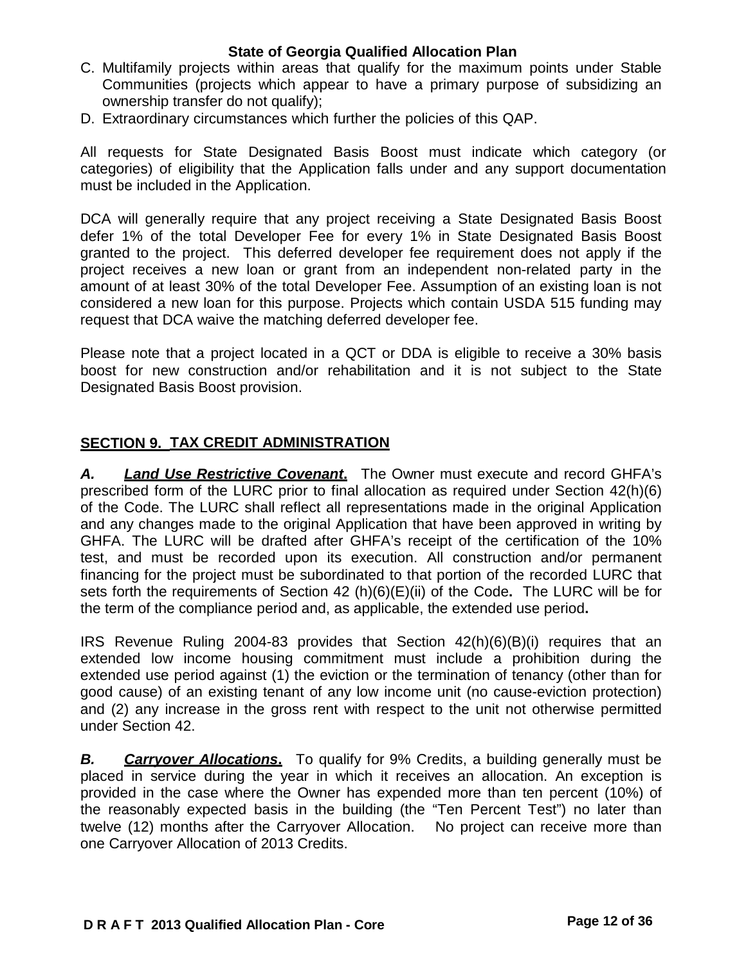- C. Multifamily projects within areas that qualify for the maximum points under Stable Communities (projects which appear to have a primary purpose of subsidizing an ownership transfer do not qualify);
- D. Extraordinary circumstances which further the policies of this QAP.

All requests for State Designated Basis Boost must indicate which category (or categories) of eligibility that the Application falls under and any support documentation must be included in the Application.

DCA will generally require that any project receiving a State Designated Basis Boost defer 1% of the total Developer Fee for every 1% in State Designated Basis Boost granted to the project. This deferred developer fee requirement does not apply if the project receives a new loan or grant from an independent non-related party in the amount of at least 30% of the total Developer Fee. Assumption of an existing loan is not considered a new loan for this purpose. Projects which contain USDA 515 funding may request that DCA waive the matching deferred developer fee.

Please note that a project located in a QCT or DDA is eligible to receive a 30% basis boost for new construction and/or rehabilitation and it is not subject to the State Designated Basis Boost provision.

### **SECTION 9. TAX CREDIT ADMINISTRATION**

*A. Land Use Restrictive Covenant***.** The Owner must execute and record GHFA's prescribed form of the LURC prior to final allocation as required under Section 42(h)(6) of the Code. The LURC shall reflect all representations made in the original Application and any changes made to the original Application that have been approved in writing by GHFA. The LURC will be drafted after GHFA's receipt of the certification of the 10% test, and must be recorded upon its execution. All construction and/or permanent financing for the project must be subordinated to that portion of the recorded LURC that sets forth the requirements of Section 42 (h)(6)(E)(ii) of the Code**.** The LURC will be for the term of the compliance period and, as applicable, the extended use period**.**

IRS Revenue Ruling 2004-83 provides that Section 42(h)(6)(B)(i) requires that an extended low income housing commitment must include a prohibition during the extended use period against (1) the eviction or the termination of tenancy (other than for good cause) of an existing tenant of any low income unit (no cause-eviction protection) and (2) any increase in the gross rent with respect to the unit not otherwise permitted under Section 42.

*B. Carryover Allocations***.** To qualify for 9% Credits, a building generally must be placed in service during the year in which it receives an allocation. An exception is provided in the case where the Owner has expended more than ten percent (10%) of the reasonably expected basis in the building (the "Ten Percent Test") no later than twelve (12) months after the Carryover Allocation. No project can receive more than one Carryover Allocation of 2013 Credits.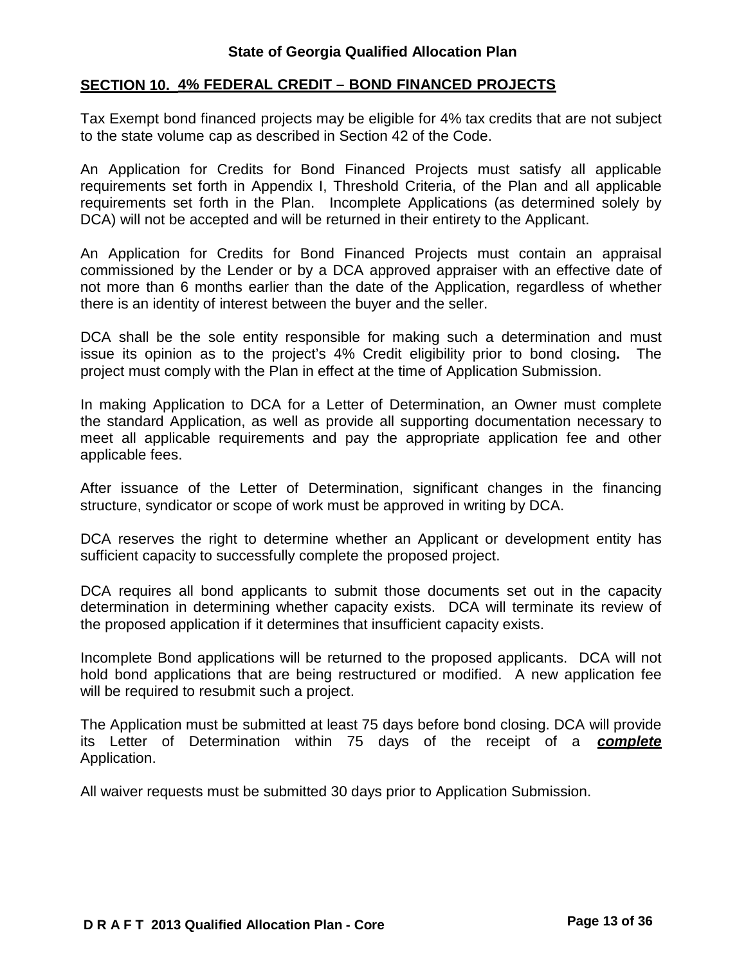## **SECTION 10. 4% FEDERAL CREDIT – BOND FINANCED PROJECTS**

Tax Exempt bond financed projects may be eligible for 4% tax credits that are not subject to the state volume cap as described in Section 42 of the Code.

An Application for Credits for Bond Financed Projects must satisfy all applicable requirements set forth in Appendix I, Threshold Criteria, of the Plan and all applicable requirements set forth in the Plan. Incomplete Applications (as determined solely by DCA) will not be accepted and will be returned in their entirety to the Applicant.

An Application for Credits for Bond Financed Projects must contain an appraisal commissioned by the Lender or by a DCA approved appraiser with an effective date of not more than 6 months earlier than the date of the Application, regardless of whether there is an identity of interest between the buyer and the seller.

DCA shall be the sole entity responsible for making such a determination and must issue its opinion as to the project's 4% Credit eligibility prior to bond closing**.** The project must comply with the Plan in effect at the time of Application Submission.

In making Application to DCA for a Letter of Determination, an Owner must complete the standard Application, as well as provide all supporting documentation necessary to meet all applicable requirements and pay the appropriate application fee and other applicable fees.

After issuance of the Letter of Determination, significant changes in the financing structure, syndicator or scope of work must be approved in writing by DCA.

DCA reserves the right to determine whether an Applicant or development entity has sufficient capacity to successfully complete the proposed project.

DCA requires all bond applicants to submit those documents set out in the capacity determination in determining whether capacity exists. DCA will terminate its review of the proposed application if it determines that insufficient capacity exists.

Incomplete Bond applications will be returned to the proposed applicants. DCA will not hold bond applications that are being restructured or modified. A new application fee will be required to resubmit such a project.

The Application must be submitted at least 75 days before bond closing. DCA will provide its Letter of Determination within 75 days of the receipt of a *complete* Application.

All waiver requests must be submitted 30 days prior to Application Submission.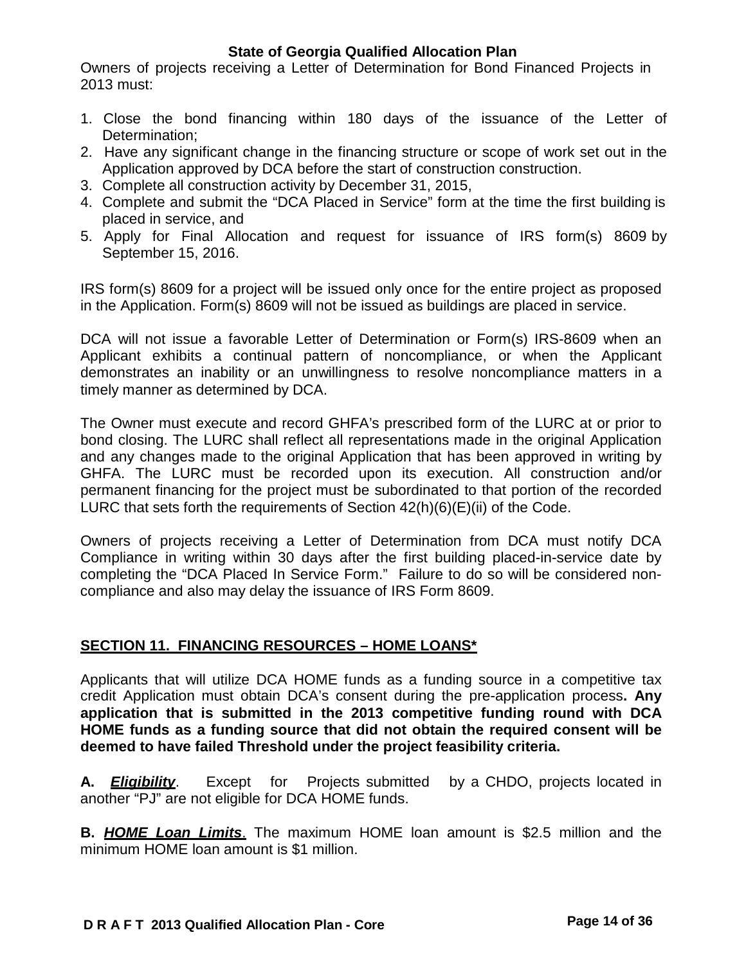Owners of projects receiving a Letter of Determination for Bond Financed Projects in 2013 must:

- 1. Close the bond financing within 180 days of the issuance of the Letter of Determination;
- 2. Have any significant change in the financing structure or scope of work set out in the Application approved by DCA before the start of construction construction.
- 3. Complete all construction activity by December 31, 2015,
- 4. Complete and submit the "DCA Placed in Service" form at the time the first building is placed in service, and
- 5. Apply for Final Allocation and request for issuance of IRS form(s) 8609 by September 15, 2016.

IRS form(s) 8609 for a project will be issued only once for the entire project as proposed in the Application. Form(s) 8609 will not be issued as buildings are placed in service.

DCA will not issue a favorable Letter of Determination or Form(s) IRS-8609 when an Applicant exhibits a continual pattern of noncompliance, or when the Applicant demonstrates an inability or an unwillingness to resolve noncompliance matters in a timely manner as determined by DCA.

The Owner must execute and record GHFA's prescribed form of the LURC at or prior to bond closing. The LURC shall reflect all representations made in the original Application and any changes made to the original Application that has been approved in writing by GHFA. The LURC must be recorded upon its execution. All construction and/or permanent financing for the project must be subordinated to that portion of the recorded LURC that sets forth the requirements of Section 42(h)(6)(E)(ii) of the Code.

Owners of projects receiving a Letter of Determination from DCA must notify DCA Compliance in writing within 30 days after the first building placed-in-service date by completing the "DCA Placed In Service Form." Failure to do so will be considered noncompliance and also may delay the issuance of IRS Form 8609.

# **SECTION 11. FINANCING RESOURCES – HOME LOANS\***

Applicants that will utilize DCA HOME funds as a funding source in a competitive tax credit Application must obtain DCA's consent during the pre-application process**. Any application that is submitted in the 2013 competitive funding round with DCA HOME funds as a funding source that did not obtain the required consent will be deemed to have failed Threshold under the project feasibility criteria.**

**A.** *Eligibility*. Except for Projects submitted by a CHDO, projects located in another "PJ" are not eligible for DCA HOME funds.

**B.** *HOME Loan Limits*. The maximum HOME loan amount is \$2.5 million and the minimum HOME loan amount is \$1 million.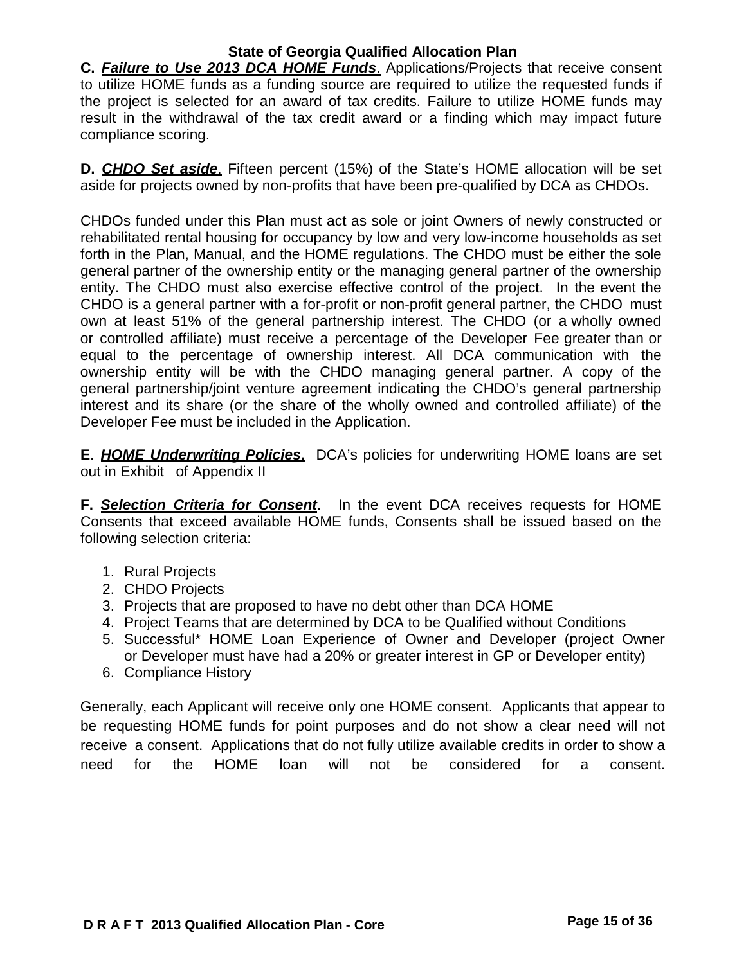**C.** *Failure to Use 2013 DCA HOME Funds*. Applications/Projects that receive consent to utilize HOME funds as a funding source are required to utilize the requested funds if the project is selected for an award of tax credits. Failure to utilize HOME funds may result in the withdrawal of the tax credit award or a finding which may impact future compliance scoring.

**D.** *CHDO Set aside*. Fifteen percent (15%) of the State's HOME allocation will be set aside for projects owned by non-profits that have been pre-qualified by DCA as CHDOs.

CHDOs funded under this Plan must act as sole or joint Owners of newly constructed or rehabilitated rental housing for occupancy by low and very low-income households as set forth in the Plan, Manual, and the HOME regulations. The CHDO must be either the sole general partner of the ownership entity or the managing general partner of the ownership entity. The CHDO must also exercise effective control of the project. In the event the CHDO is a general partner with a for-profit or non-profit general partner, the CHDO must own at least 51% of the general partnership interest. The CHDO (or a wholly owned or controlled affiliate) must receive a percentage of the Developer Fee greater than or equal to the percentage of ownership interest. All DCA communication with the ownership entity will be with the CHDO managing general partner. A copy of the general partnership/joint venture agreement indicating the CHDO's general partnership interest and its share (or the share of the wholly owned and controlled affiliate) of the Developer Fee must be included in the Application.

**E**. *HOME Underwriting Policies***.** DCA's policies for underwriting HOME loans are set out in Exhibit of Appendix II

**F.** *Selection Criteria for Consent*. In the event DCA receives requests for HOME Consents that exceed available HOME funds, Consents shall be issued based on the following selection criteria:

- 1. Rural Projects
- 2. CHDO Projects
- 3. Projects that are proposed to have no debt other than DCA HOME
- 4. Project Teams that are determined by DCA to be Qualified without Conditions
- 5. Successful\* HOME Loan Experience of Owner and Developer (project Owner or Developer must have had a 20% or greater interest in GP or Developer entity)
- 6. Compliance History

Generally, each Applicant will receive only one HOME consent. Applicants that appear to be requesting HOME funds for point purposes and do not show a clear need will not receive a consent. Applications that do not fully utilize available credits in order to show a need for the HOME loan will not be considered for a consent.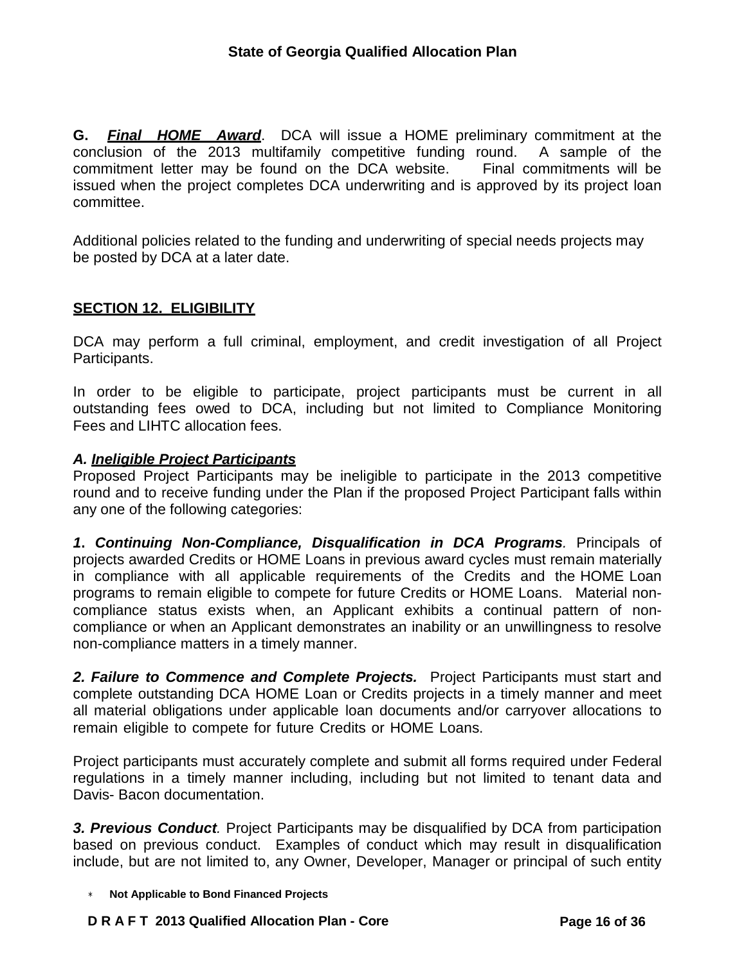**G.** *Final HOME Award*. DCA will issue a HOME preliminary commitment at the conclusion of the 2013 multifamily competitive funding round. A sample of the commitment letter may be found on the DCA website. Final commitments will be issued when the project completes DCA underwriting and is approved by its project loan committee.

Additional policies related to the funding and underwriting of special needs projects may be posted by DCA at a later date.

## **SECTION 12. ELIGIBILITY**

DCA may perform a full criminal, employment, and credit investigation of all Project Participants.

In order to be eligible to participate, project participants must be current in all outstanding fees owed to DCA, including but not limited to Compliance Monitoring Fees and LIHTC allocation fees.

### *A. Ineligible Project Participants*

Proposed Project Participants may be ineligible to participate in the 2013 competitive round and to receive funding under the Plan if the proposed Project Participant falls within any one of the following categories:

*1***.** *Continuing Non-Compliance, Disqualification in DCA Programs.* Principals of projects awarded Credits or HOME Loans in previous award cycles must remain materially in compliance with all applicable requirements of the Credits and the HOME Loan programs to remain eligible to compete for future Credits or HOME Loans. Material noncompliance status exists when, an Applicant exhibits a continual pattern of noncompliance or when an Applicant demonstrates an inability or an unwillingness to resolve non-compliance matters in a timely manner.

*2. Failure to Commence and Complete Projects.* Project Participants must start and complete outstanding DCA HOME Loan or Credits projects in a timely manner and meet all material obligations under applicable loan documents and/or carryover allocations to remain eligible to compete for future Credits or HOME Loans.

Project participants must accurately complete and submit all forms required under Federal regulations in a timely manner including, including but not limited to tenant data and Davis- Bacon documentation.

*3. Previous Conduct.* Project Participants may be disqualified by DCA from participation based on previous conduct. Examples of conduct which may result in disqualification include, but are not limited to, any Owner, Developer, Manager or principal of such entity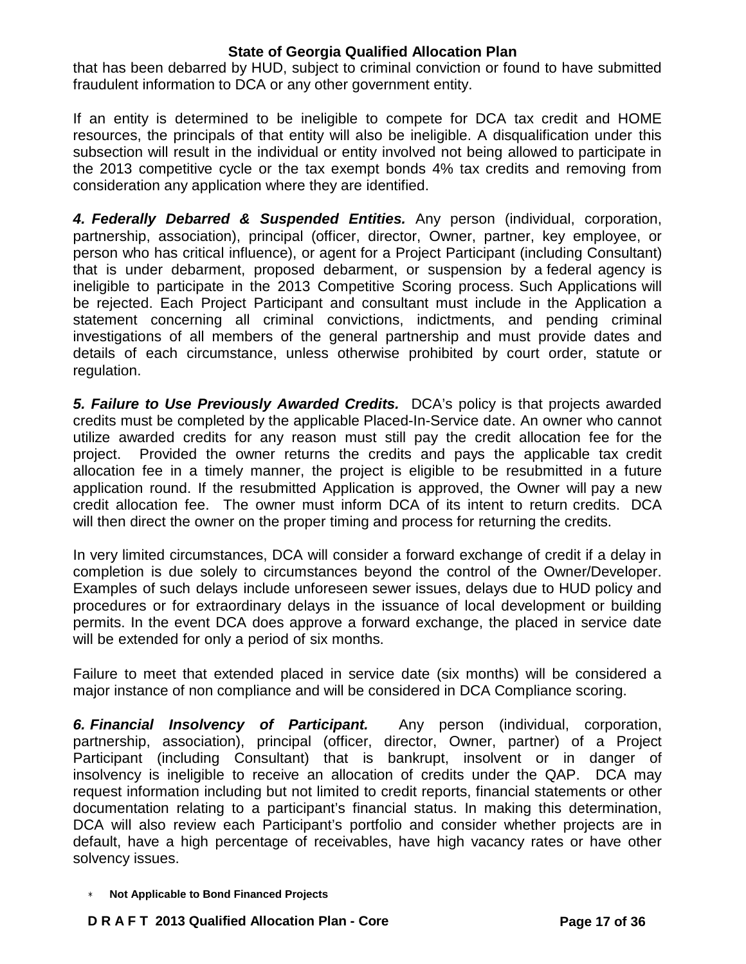that has been debarred by HUD, subject to criminal conviction or found to have submitted fraudulent information to DCA or any other government entity.

If an entity is determined to be ineligible to compete for DCA tax credit and HOME resources, the principals of that entity will also be ineligible. A disqualification under this subsection will result in the individual or entity involved not being allowed to participate in the 2013 competitive cycle or the tax exempt bonds 4% tax credits and removing from consideration any application where they are identified.

*4. Federally Debarred & Suspended Entities.* Any person (individual, corporation, partnership, association), principal (officer, director, Owner, partner, key employee, or person who has critical influence), or agent for a Project Participant (including Consultant) that is under debarment, proposed debarment, or suspension by a federal agency is ineligible to participate in the 2013 Competitive Scoring process. Such Applications will be rejected. Each Project Participant and consultant must include in the Application a statement concerning all criminal convictions, indictments, and pending criminal investigations of all members of the general partnership and must provide dates and details of each circumstance, unless otherwise prohibited by court order, statute or regulation.

*5. Failure to Use Previously Awarded Credits.* DCA's policy is that projects awarded credits must be completed by the applicable Placed-In-Service date. An owner who cannot utilize awarded credits for any reason must still pay the credit allocation fee for the project. Provided the owner returns the credits and pays the applicable tax credit allocation fee in a timely manner, the project is eligible to be resubmitted in a future application round. If the resubmitted Application is approved, the Owner will pay a new credit allocation fee. The owner must inform DCA of its intent to return credits. DCA will then direct the owner on the proper timing and process for returning the credits.

In very limited circumstances, DCA will consider a forward exchange of credit if a delay in completion is due solely to circumstances beyond the control of the Owner/Developer. Examples of such delays include unforeseen sewer issues, delays due to HUD policy and procedures or for extraordinary delays in the issuance of local development or building permits. In the event DCA does approve a forward exchange, the placed in service date will be extended for only a period of six months.

Failure to meet that extended placed in service date (six months) will be considered a major instance of non compliance and will be considered in DCA Compliance scoring.

*6. Financial Insolvency of Participant.* Any person (individual, corporation, partnership, association), principal (officer, director, Owner, partner) of a Project Participant (including Consultant) that is bankrupt, insolvent or in danger of insolvency is ineligible to receive an allocation of credits under the QAP. DCA may request information including but not limited to credit reports, financial statements or other documentation relating to a participant's financial status. In making this determination, DCA will also review each Participant's portfolio and consider whether projects are in default, have a high percentage of receivables, have high vacancy rates or have other solvency issues.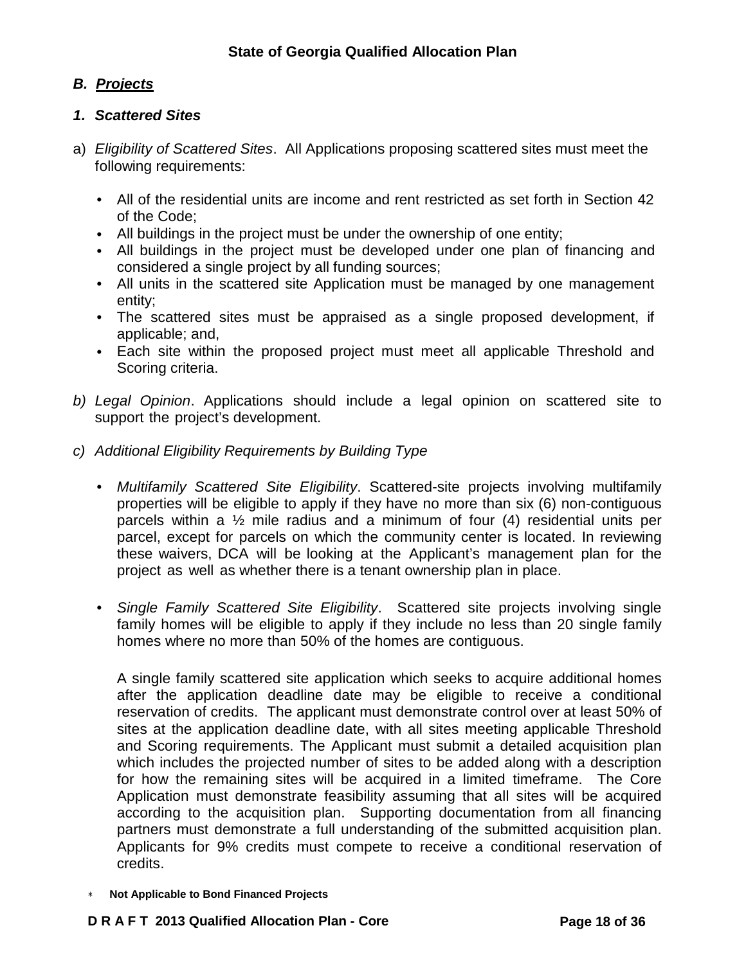# *B. Projects*

## *1. Scattered Sites*

- a) *Eligibility of Scattered Sites*. All Applications proposing scattered sites must meet the following requirements:
	- All of the residential units are income and rent restricted as set forth in Section 42 of the Code;
	- All buildings in the project must be under the ownership of one entity;
	- All buildings in the project must be developed under one plan of financing and considered a single project by all funding sources;
	- All units in the scattered site Application must be managed by one management entity;
	- The scattered sites must be appraised as a single proposed development, if applicable; and,
	- Each site within the proposed project must meet all applicable Threshold and Scoring criteria.
- *b) Legal Opinion*. Applications should include a legal opinion on scattered site to support the project's development.
- *c) Additional Eligibility Requirements by Building Type*
	- *Multifamily Scattered Site Eligibility*. Scattered-site projects involving multifamily properties will be eligible to apply if they have no more than six (6) non-contiguous parcels within a ½ mile radius and a minimum of four (4) residential units per parcel, except for parcels on which the community center is located. In reviewing these waivers, DCA will be looking at the Applicant's management plan for the project as well as whether there is a tenant ownership plan in place.
	- *Single Family Scattered Site Eligibility*. Scattered site projects involving single family homes will be eligible to apply if they include no less than 20 single family homes where no more than 50% of the homes are contiguous.

A single family scattered site application which seeks to acquire additional homes after the application deadline date may be eligible to receive a conditional reservation of credits. The applicant must demonstrate control over at least 50% of sites at the application deadline date, with all sites meeting applicable Threshold and Scoring requirements. The Applicant must submit a detailed acquisition plan which includes the projected number of sites to be added along with a description for how the remaining sites will be acquired in a limited timeframe. The Core Application must demonstrate feasibility assuming that all sites will be acquired according to the acquisition plan. Supporting documentation from all financing partners must demonstrate a full understanding of the submitted acquisition plan. Applicants for 9% credits must compete to receive a conditional reservation of credits.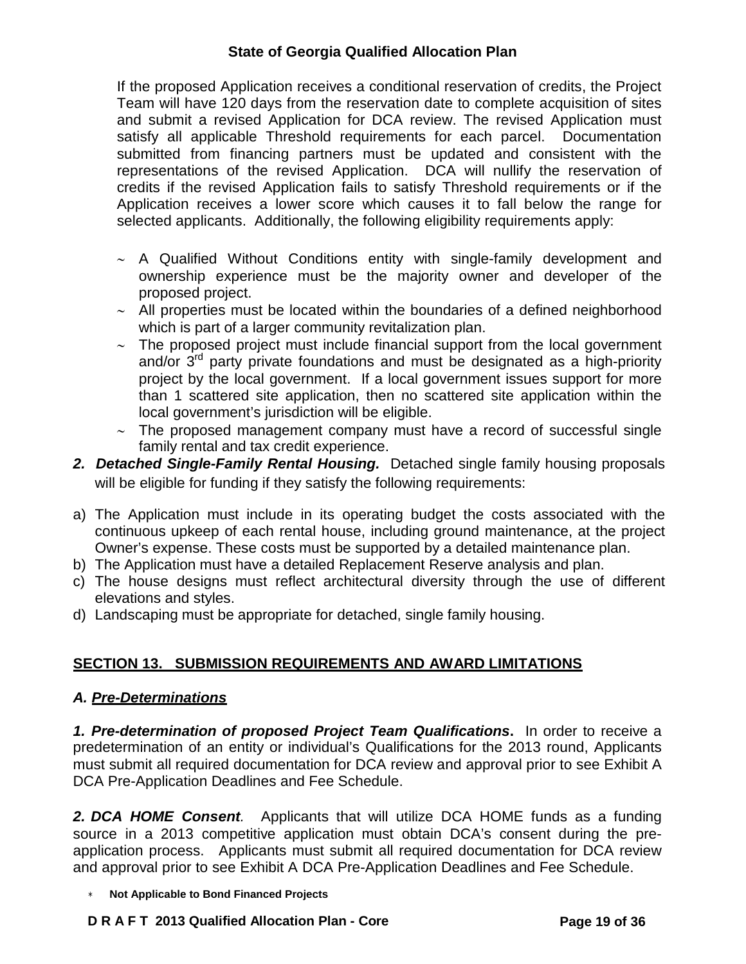If the proposed Application receives a conditional reservation of credits, the Project Team will have 120 days from the reservation date to complete acquisition of sites and submit a revised Application for DCA review. The revised Application must satisfy all applicable Threshold requirements for each parcel. Documentation submitted from financing partners must be updated and consistent with the representations of the revised Application. DCA will nullify the reservation of credits if the revised Application fails to satisfy Threshold requirements or if the Application receives a lower score which causes it to fall below the range for selected applicants. Additionally, the following eligibility requirements apply:

- ∼ A Qualified Without Conditions entity with single-family development and ownership experience must be the majority owner and developer of the proposed project.
- ∼ All properties must be located within the boundaries of a defined neighborhood which is part of a larger community revitalization plan.
- ∼ The proposed project must include financial support from the local government and/or  $3<sup>rd</sup>$  party private foundations and must be designated as a high-priority project by the local government. If a local government issues support for more than 1 scattered site application, then no scattered site application within the local government's jurisdiction will be eligible.
- ∼ The proposed management company must have a record of successful single family rental and tax credit experience.
- *2. Detached Single-Family Rental Housing.* Detached single family housing proposals will be eligible for funding if they satisfy the following requirements:
- a) The Application must include in its operating budget the costs associated with the continuous upkeep of each rental house, including ground maintenance, at the project Owner's expense. These costs must be supported by a detailed maintenance plan.
- b) The Application must have a detailed Replacement Reserve analysis and plan.
- c) The house designs must reflect architectural diversity through the use of different elevations and styles.
- d) Landscaping must be appropriate for detached, single family housing.

# **SECTION 13. SUBMISSION REQUIREMENTS AND AWARD LIMITATIONS**

## *A. Pre-Determinations*

*1. Pre-determination of proposed Project Team Qualifications***.** In order to receive a predetermination of an entity or individual's Qualifications for the 2013 round, Applicants must submit all required documentation for DCA review and approval prior to see Exhibit A DCA Pre-Application Deadlines and Fee Schedule.

*2. DCA HOME Consent.* Applicants that will utilize DCA HOME funds as a funding source in a 2013 competitive application must obtain DCA's consent during the preapplication process. Applicants must submit all required documentation for DCA review and approval prior to see Exhibit A DCA Pre-Application Deadlines and Fee Schedule.

∗ **Not Applicable to Bond Financed Projects**

### **D R A F T 2013 Qualified Allocation Plan - Core Page 19 of 36**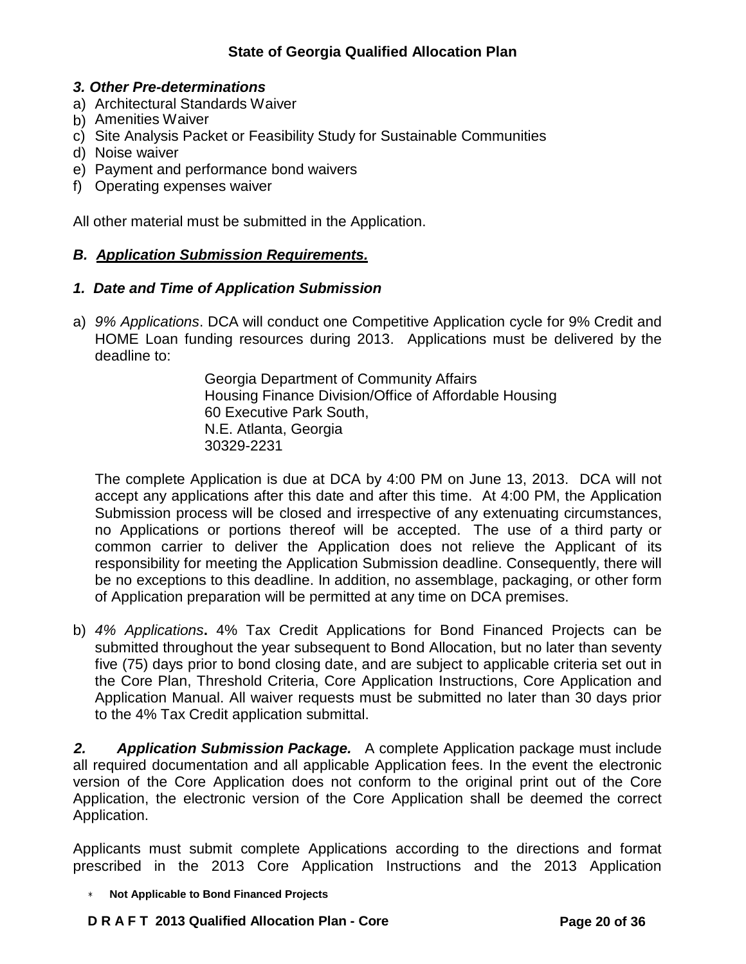## *3. Other Pre-determinations*

- a) Architectural Standards Waiver
- b) Amenities Waiver
- c) Site Analysis Packet or Feasibility Study for Sustainable Communities
- d) Noise waiver
- e) Payment and performance bond waivers
- f) Operating expenses waiver

All other material must be submitted in the Application.

## *B. Application Submission Requirements.*

## *1. Date and Time of Application Submission*

a) *9% Applications*. DCA will conduct one Competitive Application cycle for 9% Credit and HOME Loan funding resources during 2013. Applications must be delivered by the deadline to:

> Georgia Department of Community Affairs Housing Finance Division/Office of Affordable Housing 60 Executive Park South, N.E. Atlanta, Georgia 30329-2231

The complete Application is due at DCA by 4:00 PM on June 13, 2013. DCA will not accept any applications after this date and after this time. At 4:00 PM, the Application Submission process will be closed and irrespective of any extenuating circumstances, no Applications or portions thereof will be accepted. The use of a third party or common carrier to deliver the Application does not relieve the Applicant of its responsibility for meeting the Application Submission deadline. Consequently, there will be no exceptions to this deadline. In addition, no assemblage, packaging, or other form of Application preparation will be permitted at any time on DCA premises.

b) *4% Applications***.** 4% Tax Credit Applications for Bond Financed Projects can be submitted throughout the year subsequent to Bond Allocation, but no later than seventy five (75) days prior to bond closing date, and are subject to applicable criteria set out in the Core Plan, Threshold Criteria, Core Application Instructions, Core Application and Application Manual. All waiver requests must be submitted no later than 30 days prior to the 4% Tax Credit application submittal.

*2. Application Submission Package.* A complete Application package must include all required documentation and all applicable Application fees. In the event the electronic version of the Core Application does not conform to the original print out of the Core Application, the electronic version of the Core Application shall be deemed the correct Application.

Applicants must submit complete Applications according to the directions and format prescribed in the 2013 Core Application Instructions and the 2013 Application

∗ **Not Applicable to Bond Financed Projects**

## **D R A F T 2013 Qualified Allocation Plan - Core Page 20 of 36**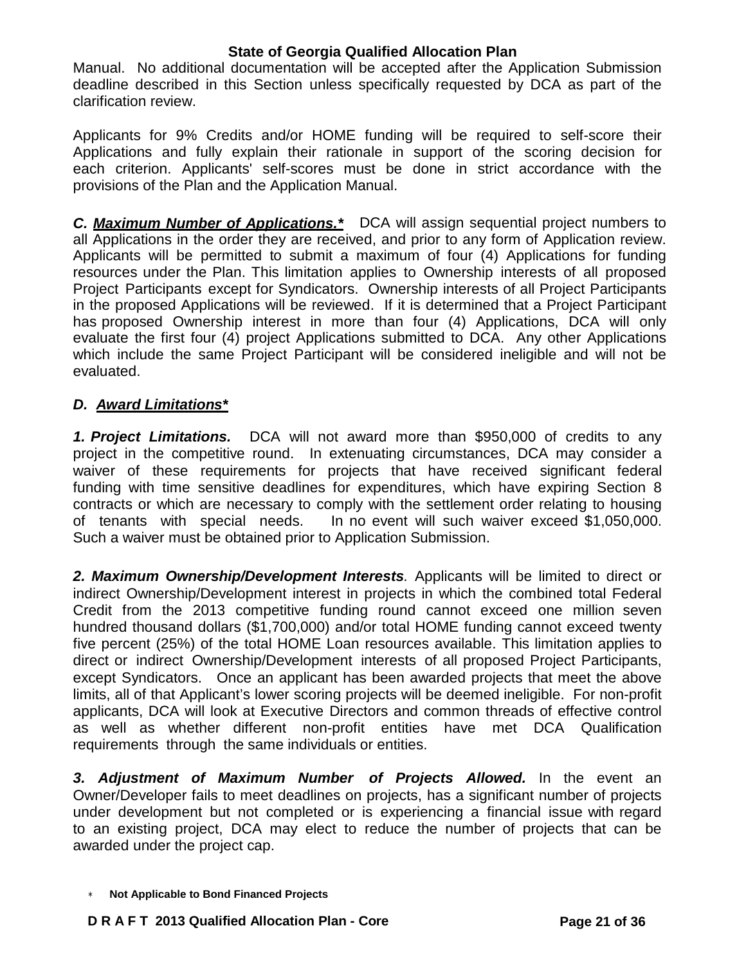Manual. No additional documentation will be accepted after the Application Submission deadline described in this Section unless specifically requested by DCA as part of the clarification review.

Applicants for 9% Credits and/or HOME funding will be required to self-score their Applications and fully explain their rationale in support of the scoring decision for each criterion. Applicants' self-scores must be done in strict accordance with the provisions of the Plan and the Application Manual.

*C. Maximum Number of Applications.\** DCA will assign sequential project numbers to all Applications in the order they are received, and prior to any form of Application review. Applicants will be permitted to submit a maximum of four (4) Applications for funding resources under the Plan. This limitation applies to Ownership interests of all proposed Project Participants except for Syndicators. Ownership interests of all Project Participants in the proposed Applications will be reviewed. If it is determined that a Project Participant has proposed Ownership interest in more than four (4) Applications, DCA will only evaluate the first four (4) project Applications submitted to DCA. Any other Applications which include the same Project Participant will be considered ineligible and will not be evaluated.

## *D. Award Limitations\**

*1. Project Limitations.* DCA will not award more than \$950,000 of credits to any project in the competitive round. In extenuating circumstances, DCA may consider a waiver of these requirements for projects that have received significant federal funding with time sensitive deadlines for expenditures, which have expiring Section 8 contracts or which are necessary to comply with the settlement order relating to housing of tenants with special needs. In no event will such waiver exceed \$1,050,000. Such a waiver must be obtained prior to Application Submission.

*2. Maximum Ownership/Development Interests.* Applicants will be limited to direct or indirect Ownership/Development interest in projects in which the combined total Federal Credit from the 2013 competitive funding round cannot exceed one million seven hundred thousand dollars (\$1,700,000) and/or total HOME funding cannot exceed twenty five percent (25%) of the total HOME Loan resources available. This limitation applies to direct or indirect Ownership/Development interests of all proposed Project Participants, except Syndicators. Once an applicant has been awarded projects that meet the above limits, all of that Applicant's lower scoring projects will be deemed ineligible. For non-profit applicants, DCA will look at Executive Directors and common threads of effective control as well as whether different non-profit entities have met DCA Qualification requirements through the same individuals or entities.

*3. Adjustment of Maximum Number of Projects Allowed.* In the event an Owner/Developer fails to meet deadlines on projects, has a significant number of projects under development but not completed or is experiencing a financial issue with regard to an existing project, DCA may elect to reduce the number of projects that can be awarded under the project cap.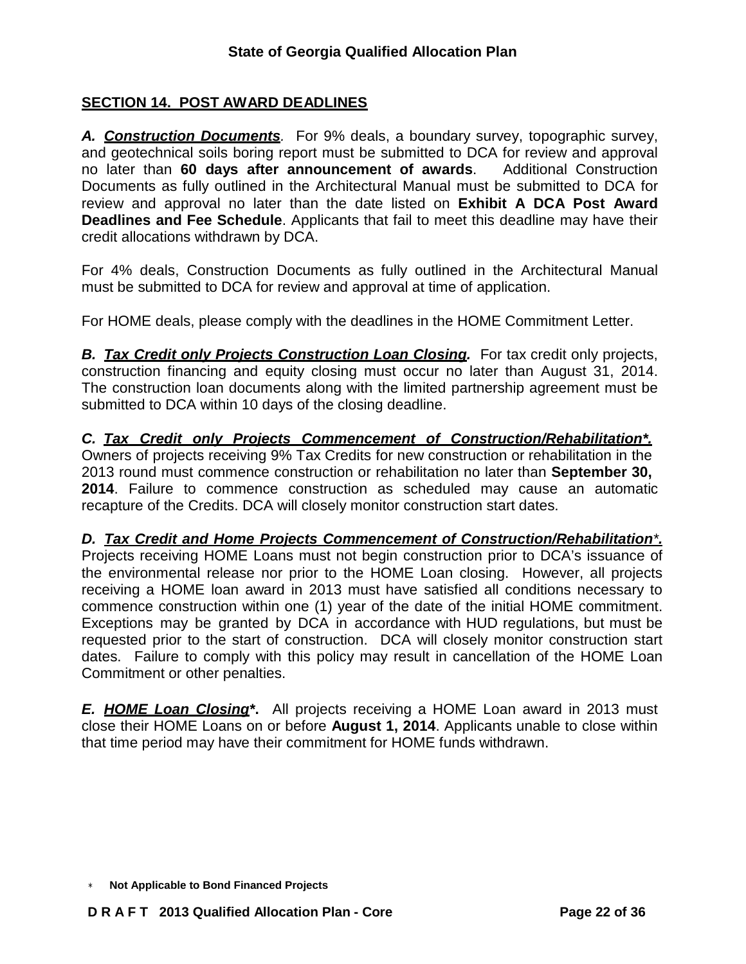# **SECTION 14. POST AWARD DEADLINES**

*A. Construction Documents.* For 9% deals, a boundary survey, topographic survey, and geotechnical soils boring report must be submitted to DCA for review and approval no later than **60 days after announcement of awards**. Additional Construction Documents as fully outlined in the Architectural Manual must be submitted to DCA for review and approval no later than the date listed on **Exhibit A DCA Post Award Deadlines and Fee Schedule**. Applicants that fail to meet this deadline may have their credit allocations withdrawn by DCA.

For 4% deals, Construction Documents as fully outlined in the Architectural Manual must be submitted to DCA for review and approval at time of application.

For HOME deals, please comply with the deadlines in the HOME Commitment Letter.

*B. Tax Credit only Projects Construction Loan Closing.* For tax credit only projects, construction financing and equity closing must occur no later than August 31, 2014. The construction loan documents along with the limited partnership agreement must be submitted to DCA within 10 days of the closing deadline.

*C. Tax Credit only Projects Commencement of Construction/Rehabilitation\*.* Owners of projects receiving 9% Tax Credits for new construction or rehabilitation in the 2013 round must commence construction or rehabilitation no later than **September 30, 2014**. Failure to commence construction as scheduled may cause an automatic recapture of the Credits. DCA will closely monitor construction start dates.

*D. Tax Credit and Home Projects Commencement of Construction/Rehabilitation\*.* Projects receiving HOME Loans must not begin construction prior to DCA's issuance of the environmental release nor prior to the HOME Loan closing. However, all projects receiving a HOME loan award in 2013 must have satisfied all conditions necessary to commence construction within one (1) year of the date of the initial HOME commitment. Exceptions may be granted by DCA in accordance with HUD regulations, but must be requested prior to the start of construction. DCA will closely monitor construction start dates. Failure to comply with this policy may result in cancellation of the HOME Loan Commitment or other penalties.

*E. HOME Loan Closing\****.** All projects receiving a HOME Loan award in 2013 must close their HOME Loans on or before **August 1, 2014**. Applicants unable to close within that time period may have their commitment for HOME funds withdrawn.

<sup>∗</sup> **Not Applicable to Bond Financed Projects**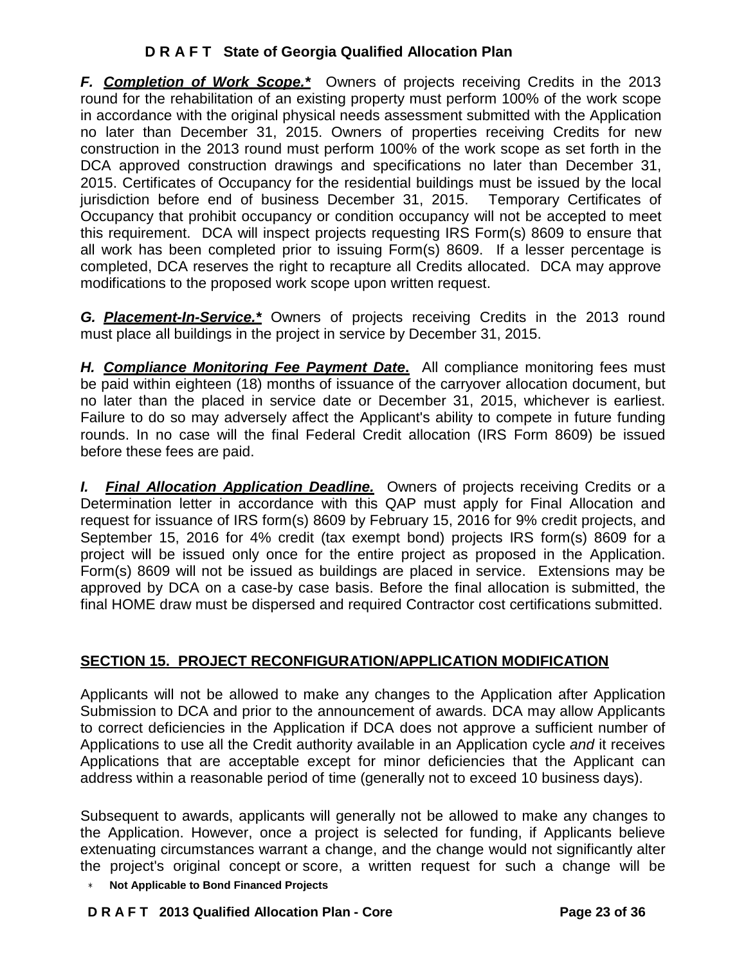*F. Completion of Work Scope.\**Owners of projects receiving Credits in the 2013 round for the rehabilitation of an existing property must perform 100% of the work scope in accordance with the original physical needs assessment submitted with the Application no later than December 31, 2015. Owners of properties receiving Credits for new construction in the 2013 round must perform 100% of the work scope as set forth in the DCA approved construction drawings and specifications no later than December 31, 2015. Certificates of Occupancy for the residential buildings must be issued by the local jurisdiction before end of business December 31, 2015. Temporary Certificates of Occupancy that prohibit occupancy or condition occupancy will not be accepted to meet this requirement. DCA will inspect projects requesting IRS Form(s) 8609 to ensure that all work has been completed prior to issuing Form(s) 8609. If a lesser percentage is completed, DCA reserves the right to recapture all Credits allocated. DCA may approve modifications to the proposed work scope upon written request.

*G. Placement-In-Service.\** Owners of projects receiving Credits in the 2013 round must place all buildings in the project in service by December 31, 2015.

*H. Compliance Monitoring Fee Payment Date***.** All compliance monitoring fees must be paid within eighteen (18) months of issuance of the carryover allocation document, but no later than the placed in service date or December 31, 2015, whichever is earliest. Failure to do so may adversely affect the Applicant's ability to compete in future funding rounds. In no case will the final Federal Credit allocation (IRS Form 8609) be issued before these fees are paid.

*I. Final Allocation Application Deadline.* Owners of projects receiving Credits or a Determination letter in accordance with this QAP must apply for Final Allocation and request for issuance of IRS form(s) 8609 by February 15, 2016 for 9% credit projects, and September 15, 2016 for 4% credit (tax exempt bond) projects IRS form(s) 8609 for a project will be issued only once for the entire project as proposed in the Application. Form(s) 8609 will not be issued as buildings are placed in service. Extensions may be approved by DCA on a case-by case basis. Before the final allocation is submitted, the final HOME draw must be dispersed and required Contractor cost certifications submitted.

# **SECTION 15. PROJECT RECONFIGURATION/APPLICATION MODIFICATION**

Applicants will not be allowed to make any changes to the Application after Application Submission to DCA and prior to the announcement of awards. DCA may allow Applicants to correct deficiencies in the Application if DCA does not approve a sufficient number of Applications to use all the Credit authority available in an Application cycle *and* it receives Applications that are acceptable except for minor deficiencies that the Applicant can address within a reasonable period of time (generally not to exceed 10 business days).

Subsequent to awards, applicants will generally not be allowed to make any changes to the Application. However, once a project is selected for funding, if Applicants believe extenuating circumstances warrant a change, and the change would not significantly alter the project's original concept or score, a written request for such a change will be

∗ **Not Applicable to Bond Financed Projects**

## **D R A F T 2013 Qualified Allocation Plan - Core Page 23 of 36**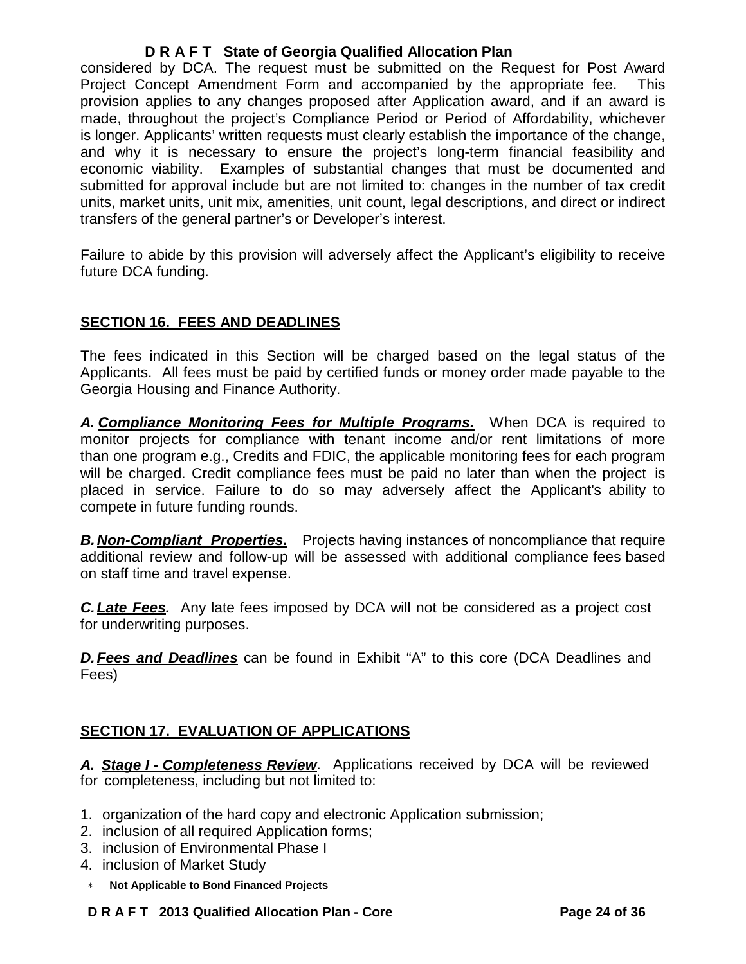considered by DCA. The request must be submitted on the Request for Post Award Project Concept Amendment Form and accompanied by the appropriate fee. This provision applies to any changes proposed after Application award, and if an award is made, throughout the project's Compliance Period or Period of Affordability, whichever is longer. Applicants' written requests must clearly establish the importance of the change, and why it is necessary to ensure the project's long-term financial feasibility and economic viability. Examples of substantial changes that must be documented and submitted for approval include but are not limited to: changes in the number of tax credit units, market units, unit mix, amenities, unit count, legal descriptions, and direct or indirect transfers of the general partner's or Developer's interest.

Failure to abide by this provision will adversely affect the Applicant's eligibility to receive future DCA funding.

## **SECTION 16. FEES AND DEADLINES**

The fees indicated in this Section will be charged based on the legal status of the Applicants. All fees must be paid by certified funds or money order made payable to the Georgia Housing and Finance Authority.

*A. Compliance Monitoring Fees for Multiple Programs.*When DCA is required to monitor projects for compliance with tenant income and/or rent limitations of more than one program e.g., Credits and FDIC, the applicable monitoring fees for each program will be charged. Credit compliance fees must be paid no later than when the project is placed in service. Failure to do so may adversely affect the Applicant's ability to compete in future funding rounds.

**B. Non-Compliant Properties.** Projects having instances of noncompliance that require additional review and follow-up will be assessed with additional compliance fees based on staff time and travel expense.

*C.Late Fees.* Any late fees imposed by DCA will not be considered as a project cost for underwriting purposes.

*D.Fees and Deadlines* can be found in Exhibit "A" to this core (DCA Deadlines and Fees)

# **SECTION 17. EVALUATION OF APPLICATIONS**

*A. Stage I - Completeness Review*. Applications received by DCA will be reviewed for completeness, including but not limited to:

- 1. organization of the hard copy and electronic Application submission;
- 2. inclusion of all required Application forms;
- 3. inclusion of Environmental Phase I
- 4. inclusion of Market Study
- ∗ **Not Applicable to Bond Financed Projects**

## **D R A F T 2013 Qualified Allocation Plan - Core Page 24 of 36**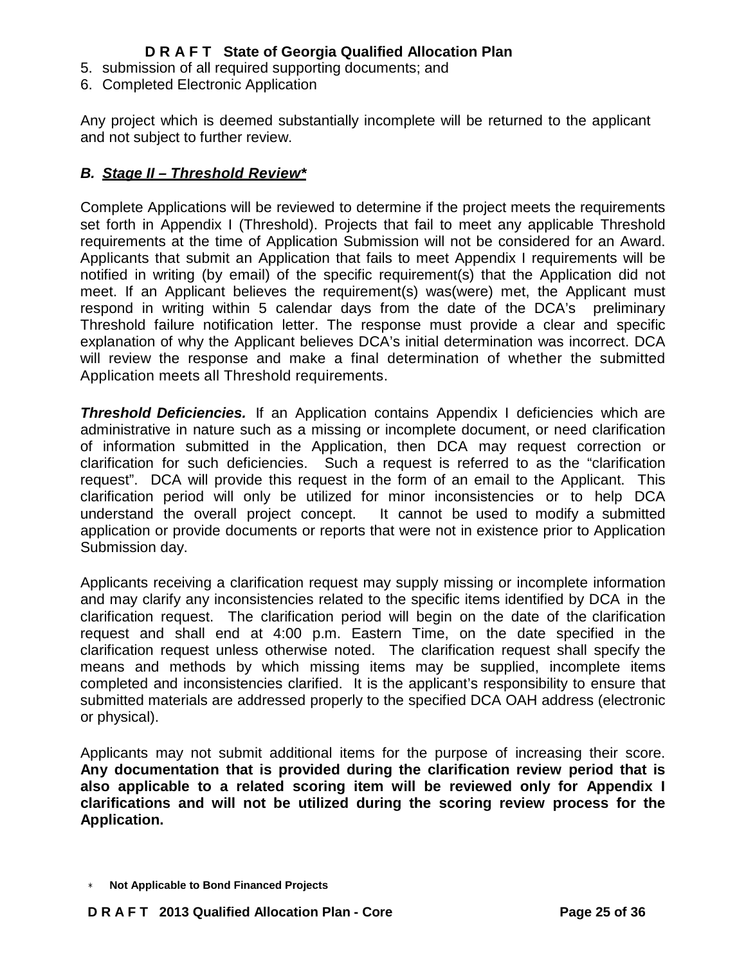- 5. submission of all required supporting documents; and
- 6. Completed Electronic Application

Any project which is deemed substantially incomplete will be returned to the applicant and not subject to further review.

## *B. Stage II – Threshold Review\**

Complete Applications will be reviewed to determine if the project meets the requirements set forth in Appendix I (Threshold). Projects that fail to meet any applicable Threshold requirements at the time of Application Submission will not be considered for an Award. Applicants that submit an Application that fails to meet Appendix I requirements will be notified in writing (by email) of the specific requirement(s) that the Application did not meet. If an Applicant believes the requirement(s) was(were) met, the Applicant must respond in writing within 5 calendar days from the date of the DCA's preliminary Threshold failure notification letter. The response must provide a clear and specific explanation of why the Applicant believes DCA's initial determination was incorrect. DCA will review the response and make a final determination of whether the submitted Application meets all Threshold requirements.

*Threshold Deficiencies.* If an Application contains Appendix I deficiencies which are administrative in nature such as a missing or incomplete document, or need clarification of information submitted in the Application, then DCA may request correction or clarification for such deficiencies. Such a request is referred to as the "clarification request". DCA will provide this request in the form of an email to the Applicant. This clarification period will only be utilized for minor inconsistencies or to help DCA understand the overall project concept. It cannot be used to modify a submitted application or provide documents or reports that were not in existence prior to Application Submission day.

Applicants receiving a clarification request may supply missing or incomplete information and may clarify any inconsistencies related to the specific items identified by DCA in the clarification request. The clarification period will begin on the date of the clarification request and shall end at 4:00 p.m. Eastern Time, on the date specified in the clarification request unless otherwise noted. The clarification request shall specify the means and methods by which missing items may be supplied, incomplete items completed and inconsistencies clarified. It is the applicant's responsibility to ensure that submitted materials are addressed properly to the specified DCA OAH address (electronic or physical).

Applicants may not submit additional items for the purpose of increasing their score. **Any documentation that is provided during the clarification review period that is also applicable to a related scoring item will be reviewed only for Appendix I clarifications and will not be utilized during the scoring review process for the Application.**

<sup>∗</sup> **Not Applicable to Bond Financed Projects**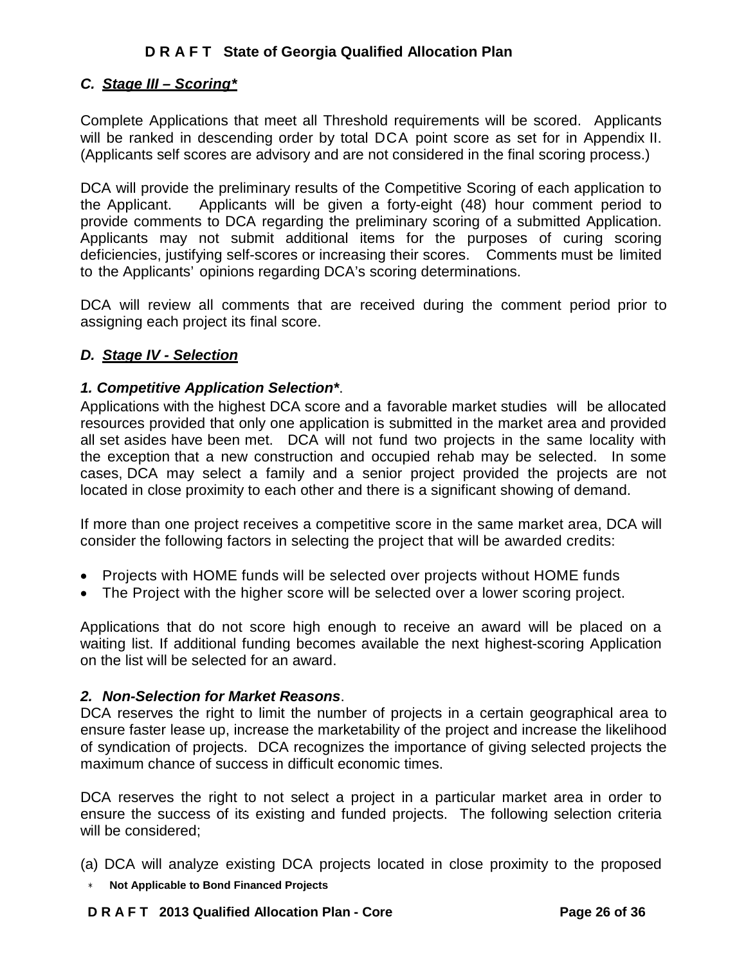## *C. Stage III – Scoring\**

Complete Applications that meet all Threshold requirements will be scored. Applicants will be ranked in descending order by total DCA point score as set for in Appendix II. (Applicants self scores are advisory and are not considered in the final scoring process.)

DCA will provide the preliminary results of the Competitive Scoring of each application to the Applicant. Applicants will be given a forty-eight (48) hour comment period to provide comments to DCA regarding the preliminary scoring of a submitted Application. Applicants may not submit additional items for the purposes of curing scoring deficiencies, justifying self-scores or increasing their scores. Comments must be limited to the Applicants' opinions regarding DCA's scoring determinations.

DCA will review all comments that are received during the comment period prior to assigning each project its final score.

## *D. Stage IV - Selection*

## *1. Competitive Application Selection\**.

Applications with the highest DCA score and a favorable market studies will be allocated resources provided that only one application is submitted in the market area and provided all set asides have been met. DCA will not fund two projects in the same locality with the exception that a new construction and occupied rehab may be selected. In some cases, DCA may select a family and a senior project provided the projects are not located in close proximity to each other and there is a significant showing of demand.

If more than one project receives a competitive score in the same market area, DCA will consider the following factors in selecting the project that will be awarded credits:

- Projects with HOME funds will be selected over projects without HOME funds
- The Project with the higher score will be selected over a lower scoring project.

Applications that do not score high enough to receive an award will be placed on a waiting list. If additional funding becomes available the next highest-scoring Application on the list will be selected for an award.

## *2. Non-Selection for Market Reasons*.

DCA reserves the right to limit the number of projects in a certain geographical area to ensure faster lease up, increase the marketability of the project and increase the likelihood of syndication of projects. DCA recognizes the importance of giving selected projects the maximum chance of success in difficult economic times.

DCA reserves the right to not select a project in a particular market area in order to ensure the success of its existing and funded projects. The following selection criteria will be considered;

- (a) DCA will analyze existing DCA projects located in close proximity to the proposed
- ∗ **Not Applicable to Bond Financed Projects**

### **D R A F T 2013 Qualified Allocation Plan - Core Page 26 of 36**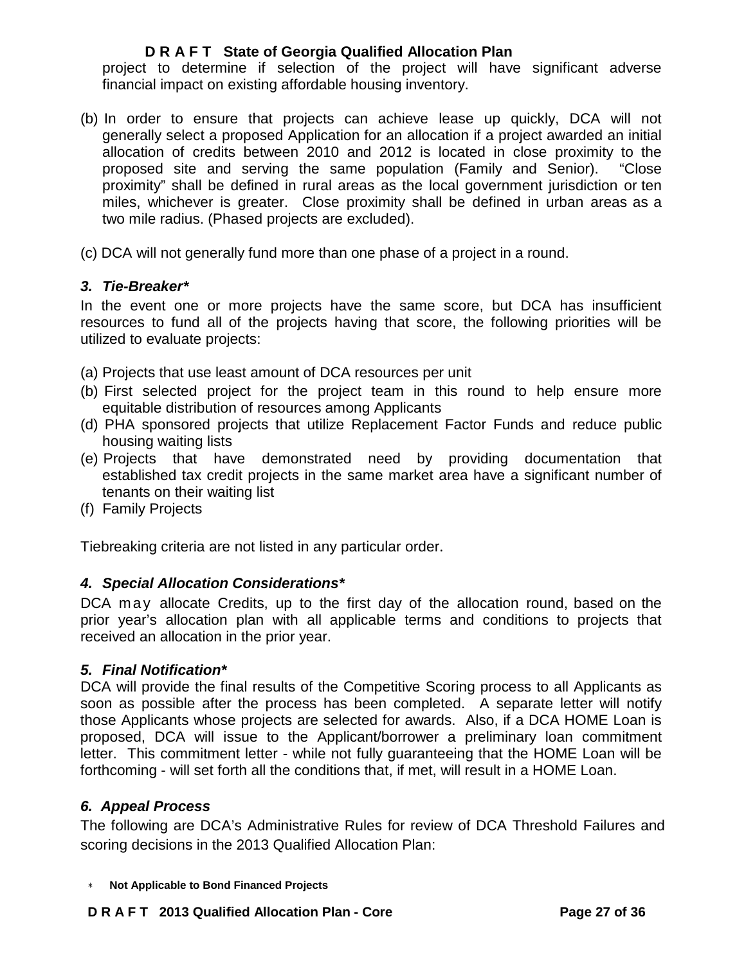project to determine if selection of the project will have significant adverse financial impact on existing affordable housing inventory.

- (b) In order to ensure that projects can achieve lease up quickly, DCA will not generally select a proposed Application for an allocation if a project awarded an initial allocation of credits between 2010 and 2012 is located in close proximity to the proposed site and serving the same population (Family and Senior). "Close proximity" shall be defined in rural areas as the local government jurisdiction or ten miles, whichever is greater. Close proximity shall be defined in urban areas as a two mile radius. (Phased projects are excluded).
- (c) DCA will not generally fund more than one phase of a project in a round.

### *3. Tie-Breaker\**

In the event one or more projects have the same score, but DCA has insufficient resources to fund all of the projects having that score, the following priorities will be utilized to evaluate projects:

- (a) Projects that use least amount of DCA resources per unit
- (b) First selected project for the project team in this round to help ensure more equitable distribution of resources among Applicants
- (d) PHA sponsored projects that utilize Replacement Factor Funds and reduce public housing waiting lists
- (e) Projects that have demonstrated need by providing documentation that established tax credit projects in the same market area have a significant number of tenants on their waiting list
- (f) Family Projects

Tiebreaking criteria are not listed in any particular order.

## *4. Special Allocation Considerations\**

DCA may allocate Credits, up to the first day of the allocation round, based on the prior year's allocation plan with all applicable terms and conditions to projects that received an allocation in the prior year.

### *5. Final Notification\**

DCA will provide the final results of the Competitive Scoring process to all Applicants as soon as possible after the process has been completed. A separate letter will notify those Applicants whose projects are selected for awards. Also, if a DCA HOME Loan is proposed, DCA will issue to the Applicant/borrower a preliminary loan commitment letter. This commitment letter - while not fully guaranteeing that the HOME Loan will be forthcoming - will set forth all the conditions that, if met, will result in a HOME Loan.

### *6. Appeal Process*

The following are DCA's Administrative Rules for review of DCA Threshold Failures and scoring decisions in the 2013 Qualified Allocation Plan: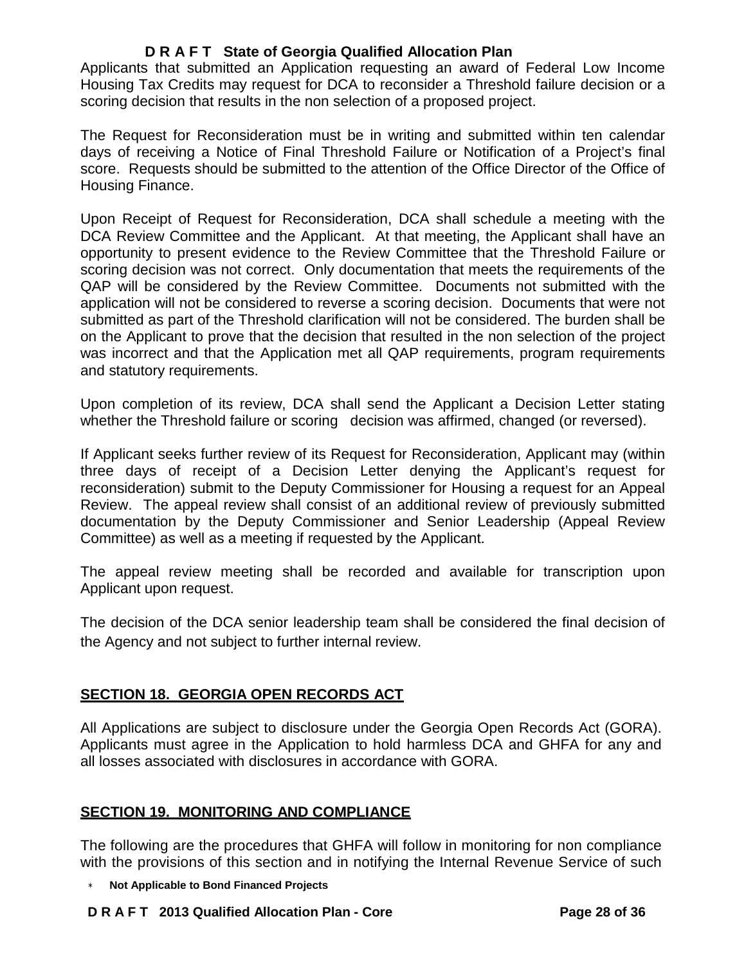Applicants that submitted an Application requesting an award of Federal Low Income Housing Tax Credits may request for DCA to reconsider a Threshold failure decision or a scoring decision that results in the non selection of a proposed project.

The Request for Reconsideration must be in writing and submitted within ten calendar days of receiving a Notice of Final Threshold Failure or Notification of a Project's final score. Requests should be submitted to the attention of the Office Director of the Office of Housing Finance.

Upon Receipt of Request for Reconsideration, DCA shall schedule a meeting with the DCA Review Committee and the Applicant. At that meeting, the Applicant shall have an opportunity to present evidence to the Review Committee that the Threshold Failure or scoring decision was not correct. Only documentation that meets the requirements of the QAP will be considered by the Review Committee. Documents not submitted with the application will not be considered to reverse a scoring decision. Documents that were not submitted as part of the Threshold clarification will not be considered. The burden shall be on the Applicant to prove that the decision that resulted in the non selection of the project was incorrect and that the Application met all QAP requirements, program requirements and statutory requirements.

Upon completion of its review, DCA shall send the Applicant a Decision Letter stating whether the Threshold failure or scoring decision was affirmed, changed (or reversed).

If Applicant seeks further review of its Request for Reconsideration, Applicant may (within three days of receipt of a Decision Letter denying the Applicant's request for reconsideration) submit to the Deputy Commissioner for Housing a request for an Appeal Review. The appeal review shall consist of an additional review of previously submitted documentation by the Deputy Commissioner and Senior Leadership (Appeal Review Committee) as well as a meeting if requested by the Applicant.

The appeal review meeting shall be recorded and available for transcription upon Applicant upon request.

The decision of the DCA senior leadership team shall be considered the final decision of the Agency and not subject to further internal review.

# **SECTION 18. GEORGIA OPEN RECORDS ACT**

All Applications are subject to disclosure under the Georgia Open Records Act (GORA). Applicants must agree in the Application to hold harmless DCA and GHFA for any and all losses associated with disclosures in accordance with GORA.

## **SECTION 19. MONITORING AND COMPLIANCE**

The following are the procedures that GHFA will follow in monitoring for non compliance with the provisions of this section and in notifying the Internal Revenue Service of such

∗ **Not Applicable to Bond Financed Projects**

### **D R A F T 2013 Qualified Allocation Plan - Core Page 28 of 36**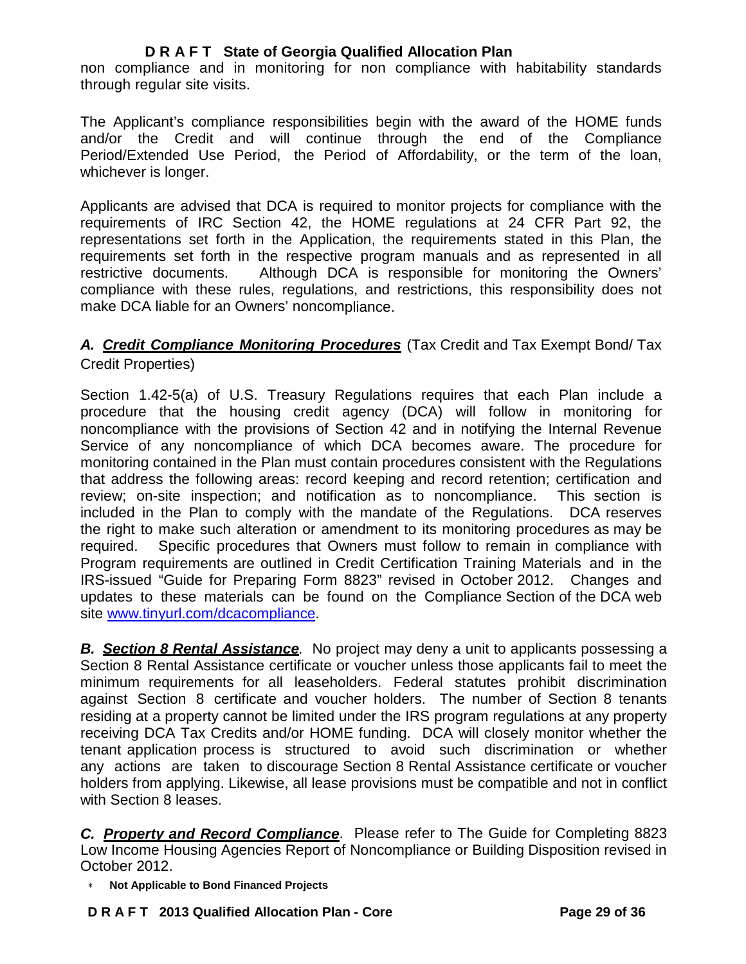non compliance and in monitoring for non compliance with habitability standards through regular site visits.

The Applicant's compliance responsibilities begin with the award of the HOME funds and/or the Credit and will continue through the end of the Compliance Period/Extended Use Period, the Period of Affordability, or the term of the loan, whichever is longer.

Applicants are advised that DCA is required to monitor projects for compliance with the requirements of IRC Section 42, the HOME regulations at 24 CFR Part 92, the representations set forth in the Application, the requirements stated in this Plan, the requirements set forth in the respective program manuals and as represented in all restrictive documents. Although DCA is responsible for monitoring the Owners' compliance with these rules, regulations, and restrictions, this responsibility does not make DCA liable for an Owners' noncompliance.

## *A. Credit Compliance Monitoring Procedures* (Tax Credit and Tax Exempt Bond/ Tax Credit Properties)

Section 1.42-5(a) of U.S. Treasury Regulations requires that each Plan include a procedure that the housing credit agency (DCA) will follow in monitoring for noncompliance with the provisions of Section 42 and in notifying the Internal Revenue Service of any noncompliance of which DCA becomes aware. The procedure for monitoring contained in the Plan must contain procedures consistent with the Regulations that address the following areas: record keeping and record retention; certification and review; on-site inspection; and notification as to noncompliance. This section is included in the Plan to comply with the mandate of the Regulations. DCA reserves the right to make such alteration or amendment to its monitoring procedures as may be required. Specific procedures that Owners must follow to remain in compliance with Program requirements are outlined in Credit Certification Training Materials and in the IRS-issued "Guide for Preparing Form 8823" revised in October 2012. Changes and updates to these materials can be found on the Compliance Section of the DCA web site [www.tinyurl.com/dcacompliance.](http://www.tinyurl.com/dcacompliance)

*B. Section 8 Rental Assistance.* No project may deny a unit to applicants possessing a Section 8 Rental Assistance certificate or voucher unless those applicants fail to meet the minimum requirements for all leaseholders. Federal statutes prohibit discrimination against Section 8 certificate and voucher holders. The number of Section 8 tenants residing at a property cannot be limited under the IRS program regulations at any property receiving DCA Tax Credits and/or HOME funding. DCA will closely monitor whether the tenant application process is structured to avoid such discrimination or whether any actions are taken to discourage Section 8 Rental Assistance certificate or voucher holders from applying. Likewise, all lease provisions must be compatible and not in conflict with Section 8 leases.

*C. Property and Record Compliance*. Please refer to The Guide for Completing 8823 Low Income Housing Agencies Report of Noncompliance or Building Disposition revised in October 2012.

∗ **Not Applicable to Bond Financed Projects**

## **D R A F T 2013 Qualified Allocation Plan - Core Page 29 of 36**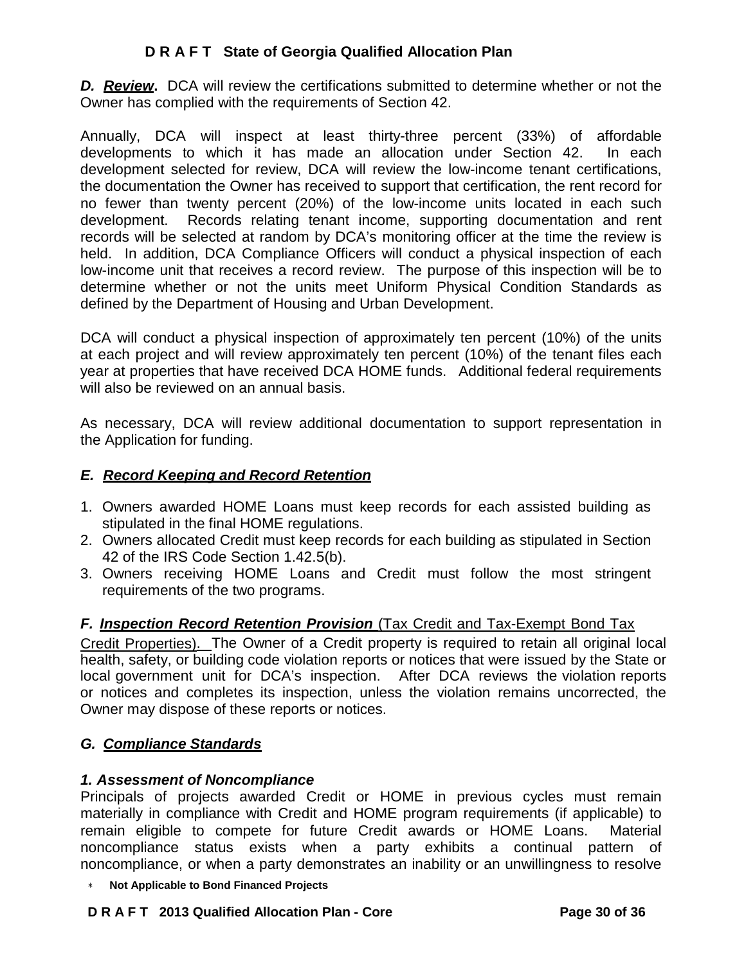*D. Review***.** DCA will review the certifications submitted to determine whether or not the Owner has complied with the requirements of Section 42.

Annually, DCA will inspect at least thirty-three percent (33%) of affordable developments to which it has made an allocation under Section 42. In each development selected for review, DCA will review the low-income tenant certifications, the documentation the Owner has received to support that certification, the rent record for no fewer than twenty percent (20%) of the low-income units located in each such development. Records relating tenant income, supporting documentation and rent records will be selected at random by DCA's monitoring officer at the time the review is held. In addition, DCA Compliance Officers will conduct a physical inspection of each low-income unit that receives a record review. The purpose of this inspection will be to determine whether or not the units meet Uniform Physical Condition Standards as defined by the Department of Housing and Urban Development.

DCA will conduct a physical inspection of approximately ten percent (10%) of the units at each project and will review approximately ten percent (10%) of the tenant files each year at properties that have received DCA HOME funds. Additional federal requirements will also be reviewed on an annual basis.

As necessary, DCA will review additional documentation to support representation in the Application for funding.

## *E. Record Keeping and Record Retention*

- 1. Owners awarded HOME Loans must keep records for each assisted building as stipulated in the final HOME regulations.
- 2. Owners allocated Credit must keep records for each building as stipulated in Section 42 of the IRS Code Section 1.42.5(b).
- 3. Owners receiving HOME Loans and Credit must follow the most stringent requirements of the two programs.

## *F. Inspection Record Retention Provision* (Tax Credit and Tax-Exempt Bond Tax

Credit Properties). The Owner of a Credit property is required to retain all original local health, safety, or building code violation reports or notices that were issued by the State or local government unit for DCA's inspection. After DCA reviews the violation reports or notices and completes its inspection, unless the violation remains uncorrected, the Owner may dispose of these reports or notices.

## *G. Compliance Standards*

## *1. Assessment of Noncompliance*

Principals of projects awarded Credit or HOME in previous cycles must remain materially in compliance with Credit and HOME program requirements (if applicable) to remain eligible to compete for future Credit awards or HOME Loans. Material noncompliance status exists when a party exhibits a continual pattern of noncompliance, or when a party demonstrates an inability or an unwillingness to resolve

∗ **Not Applicable to Bond Financed Projects**

### **D R A F T 2013 Qualified Allocation Plan - Core Page 30 of 36**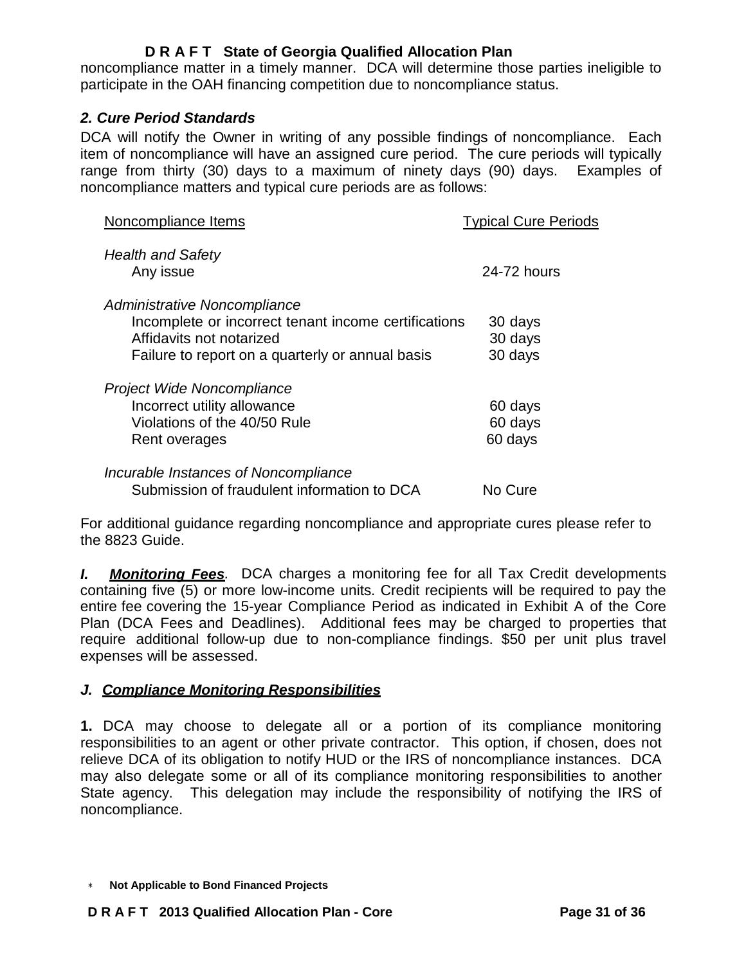noncompliance matter in a timely manner. DCA will determine those parties ineligible to participate in the OAH financing competition due to noncompliance status.

## *2. Cure Period Standards*

DCA will notify the Owner in writing of any possible findings of noncompliance. Each item of noncompliance will have an assigned cure period. The cure periods will typically range from thirty (30) days to a maximum of ninety days (90) days. Examples of noncompliance matters and typical cure periods are as follows:

| Noncompliance Items                                                                                                                                                  | <b>Typical Cure Periods</b>   |
|----------------------------------------------------------------------------------------------------------------------------------------------------------------------|-------------------------------|
| <b>Health and Safety</b><br>Any issue                                                                                                                                | 24-72 hours                   |
| Administrative Noncompliance<br>Incomplete or incorrect tenant income certifications<br>Affidavits not notarized<br>Failure to report on a quarterly or annual basis | 30 days<br>30 days<br>30 days |
| Project Wide Noncompliance<br>Incorrect utility allowance<br>Violations of the 40/50 Rule<br>Rent overages                                                           | 60 days<br>60 days<br>60 days |
| Incurable Instances of Noncompliance<br>Submission of fraudulent information to DCA                                                                                  | No Cure                       |

For additional guidance regarding noncompliance and appropriate cures please refer to the 8823 Guide.

*I. Monitoring Fees.* DCA charges a monitoring fee for all Tax Credit developments containing five (5) or more low-income units. Credit recipients will be required to pay the entire fee covering the 15-year Compliance Period as indicated in Exhibit A of the Core Plan (DCA Fees and Deadlines). Additional fees may be charged to properties that require additional follow-up due to non-compliance findings. \$50 per unit plus travel expenses will be assessed.

## *J. Compliance Monitoring Responsibilities*

**1.** DCA may choose to delegate all or a portion of its compliance monitoring responsibilities to an agent or other private contractor. This option, if chosen, does not relieve DCA of its obligation to notify HUD or the IRS of noncompliance instances. DCA may also delegate some or all of its compliance monitoring responsibilities to another State agency. This delegation may include the responsibility of notifying the IRS of noncompliance.

<sup>∗</sup> **Not Applicable to Bond Financed Projects**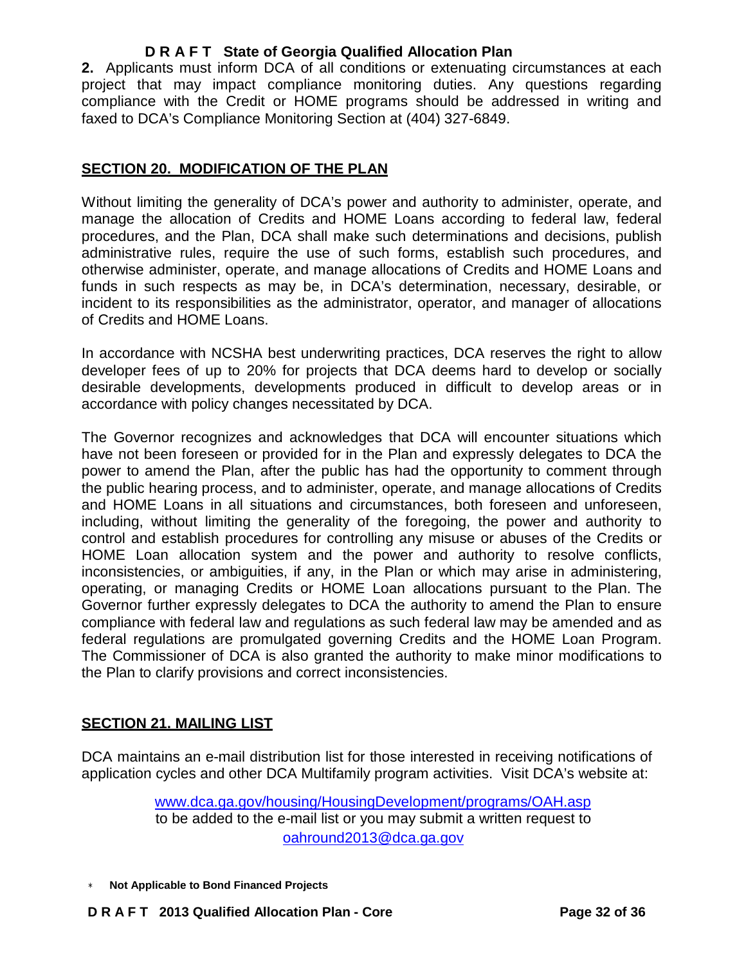**2.** Applicants must inform DCA of all conditions or extenuating circumstances at each project that may impact compliance monitoring duties. Any questions regarding compliance with the Credit or HOME programs should be addressed in writing and faxed to DCA's Compliance Monitoring Section at (404) 327-6849.

## **SECTION 20. MODIFICATION OF THE PLAN**

Without limiting the generality of DCA's power and authority to administer, operate, and manage the allocation of Credits and HOME Loans according to federal law, federal procedures, and the Plan, DCA shall make such determinations and decisions, publish administrative rules, require the use of such forms, establish such procedures, and otherwise administer, operate, and manage allocations of Credits and HOME Loans and funds in such respects as may be, in DCA's determination, necessary, desirable, or incident to its responsibilities as the administrator, operator, and manager of allocations of Credits and HOME Loans.

In accordance with NCSHA best underwriting practices, DCA reserves the right to allow developer fees of up to 20% for projects that DCA deems hard to develop or socially desirable developments, developments produced in difficult to develop areas or in accordance with policy changes necessitated by DCA.

The Governor recognizes and acknowledges that DCA will encounter situations which have not been foreseen or provided for in the Plan and expressly delegates to DCA the power to amend the Plan, after the public has had the opportunity to comment through the public hearing process, and to administer, operate, and manage allocations of Credits and HOME Loans in all situations and circumstances, both foreseen and unforeseen, including, without limiting the generality of the foregoing, the power and authority to control and establish procedures for controlling any misuse or abuses of the Credits or HOME Loan allocation system and the power and authority to resolve conflicts, inconsistencies, or ambiguities, if any, in the Plan or which may arise in administering, operating, or managing Credits or HOME Loan allocations pursuant to the Plan. The Governor further expressly delegates to DCA the authority to amend the Plan to ensure compliance with federal law and regulations as such federal law may be amended and as federal regulations are promulgated governing Credits and the HOME Loan Program. The Commissioner of DCA is also granted the authority to make minor modifications to the Plan to clarify provisions and correct inconsistencies.

## **SECTION 21. MAILING LIST**

DCA maintains an e-mail distribution list for those interested in receiving notifications of application cycles and other DCA Multifamily program activities. Visit DCA's website at:

> [www.dca.ga.gov/housing/HousingDevelopment/programs/OAH.asp](http://www.dca.ga.gov/housing/HousingDevelopment/programs/OAH.asp) to be added to the e-mail list or you may submit a written request to [oahround2013@dca.ga.gov](mailto:oahround2013@dca.ga.gov)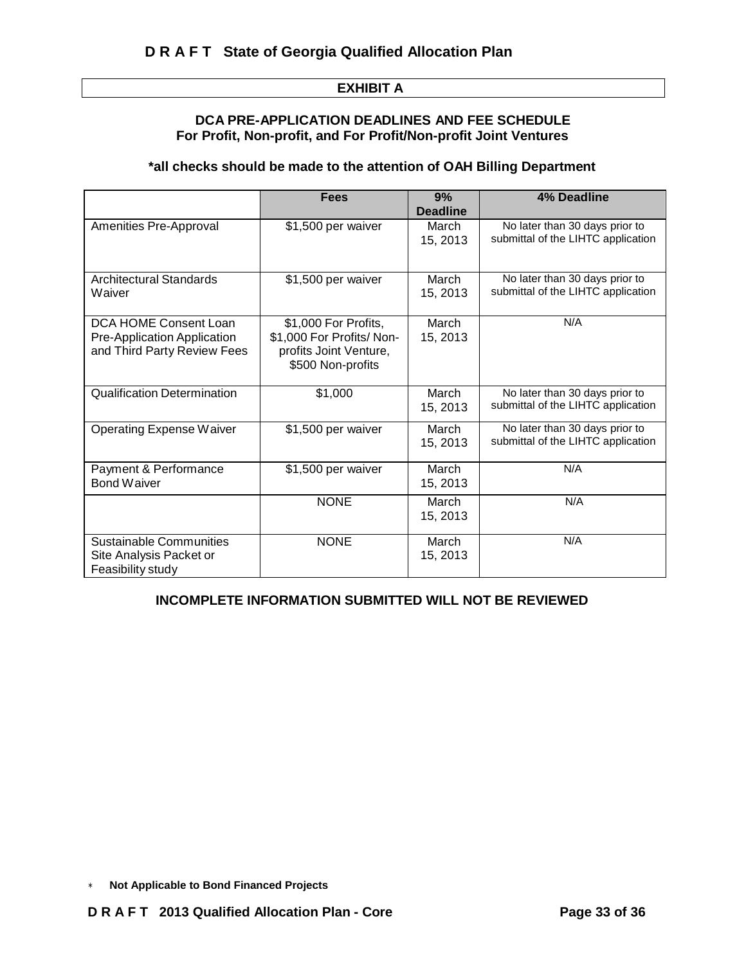#### **EXHIBIT A**

#### **DCA PRE-APPLICATION DEADLINES AND FEE SCHEDULE For Profit, Non-profit, and For Profit/Non-profit Joint Ventures**

### **\*all checks should be made to the attention of OAH Billing Department**

|                                                                                     | <b>Fees</b>                                                                                      | 9%<br><b>Deadline</b> | <b>4% Deadline</b>                                                   |
|-------------------------------------------------------------------------------------|--------------------------------------------------------------------------------------------------|-----------------------|----------------------------------------------------------------------|
| Amenities Pre-Approval                                                              | \$1,500 per waiver                                                                               | March<br>15, 2013     | No later than 30 days prior to<br>submittal of the LIHTC application |
| Architectural Standards<br>Waiver                                                   | \$1,500 per waiver                                                                               | March<br>15, 2013     | No later than 30 days prior to<br>submittal of the LIHTC application |
| DCA HOME Consent Loan<br>Pre-Application Application<br>and Third Party Review Fees | \$1,000 For Profits,<br>\$1,000 For Profits/ Non-<br>profits Joint Venture,<br>\$500 Non-profits | March<br>15, 2013     | N/A                                                                  |
| <b>Qualification Determination</b>                                                  | \$1,000                                                                                          | March<br>15, 2013     | No later than 30 days prior to<br>submittal of the LIHTC application |
| Operating Expense Waiver                                                            | \$1,500 per waiver                                                                               | March<br>15, 2013     | No later than 30 days prior to<br>submittal of the LIHTC application |
| Payment & Performance<br>Bond Waiver                                                | \$1,500 per waiver                                                                               | March<br>15, 2013     | N/A                                                                  |
|                                                                                     | <b>NONE</b>                                                                                      | March<br>15, 2013     | N/A                                                                  |
| <b>Sustainable Communities</b><br>Site Analysis Packet or<br>Feasibility study      | <b>NONE</b>                                                                                      | March<br>15, 2013     | N/A                                                                  |

#### **INCOMPLETE INFORMATION SUBMITTED WILL NOT BE REVIEWED**

<sup>∗</sup> **Not Applicable to Bond Financed Projects**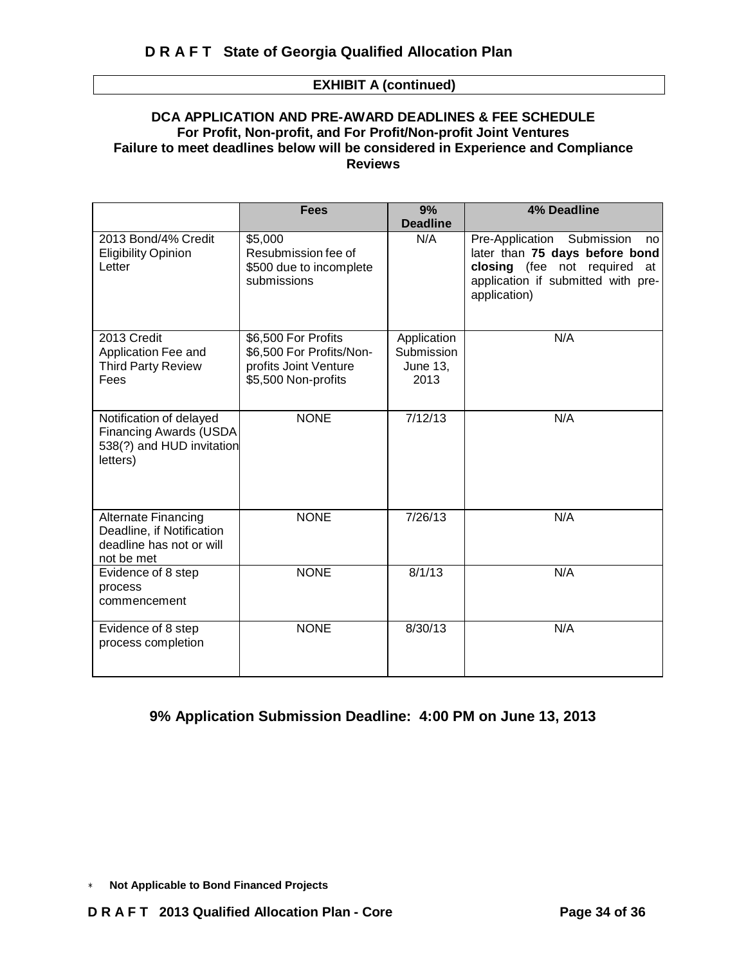#### **EXHIBIT A (continued)**

#### **DCA APPLICATION AND PRE-AWARD DEADLINES & FEE SCHEDULE For Profit, Non-profit, and For Profit/Non-profit Joint Ventures Failure to meet deadlines below will be considered in Experience and Compliance Reviews**

|                                                                                                   | <b>Fees</b>                                                                                     | 9%                                                   | 4% Deadline                                                                                                                                              |
|---------------------------------------------------------------------------------------------------|-------------------------------------------------------------------------------------------------|------------------------------------------------------|----------------------------------------------------------------------------------------------------------------------------------------------------------|
|                                                                                                   |                                                                                                 | <b>Deadline</b>                                      |                                                                                                                                                          |
| 2013 Bond/4% Credit<br><b>Eligibility Opinion</b><br>Letter                                       | \$5,000<br>Resubmission fee of<br>\$500 due to incomplete<br>submissions                        | N/A                                                  | Pre-Application Submission<br>no<br>later than 75 days before bond<br>closing (fee not required at<br>application if submitted with pre-<br>application) |
| 2013 Credit<br>Application Fee and<br><b>Third Party Review</b><br>Fees                           | \$6,500 For Profits<br>\$6,500 For Profits/Non-<br>profits Joint Venture<br>\$5,500 Non-profits | Application<br>Submission<br><b>June 13,</b><br>2013 | N/A                                                                                                                                                      |
| Notification of delayed<br><b>Financing Awards (USDA</b><br>538(?) and HUD invitation<br>letters) | <b>NONE</b>                                                                                     | 7/12/13                                              | N/A                                                                                                                                                      |
| <b>Alternate Financing</b><br>Deadline, if Notification<br>deadline has not or will<br>not be met | <b>NONE</b>                                                                                     | 7/26/13                                              | N/A                                                                                                                                                      |
| Evidence of 8 step<br>process<br>commencement                                                     | <b>NONE</b>                                                                                     | 8/1/13                                               | N/A                                                                                                                                                      |
| Evidence of 8 step<br>process completion                                                          | <b>NONE</b>                                                                                     | 8/30/13                                              | N/A                                                                                                                                                      |

### **9% Application Submission Deadline: 4:00 PM on June 13, 2013**

<sup>∗</sup> **Not Applicable to Bond Financed Projects**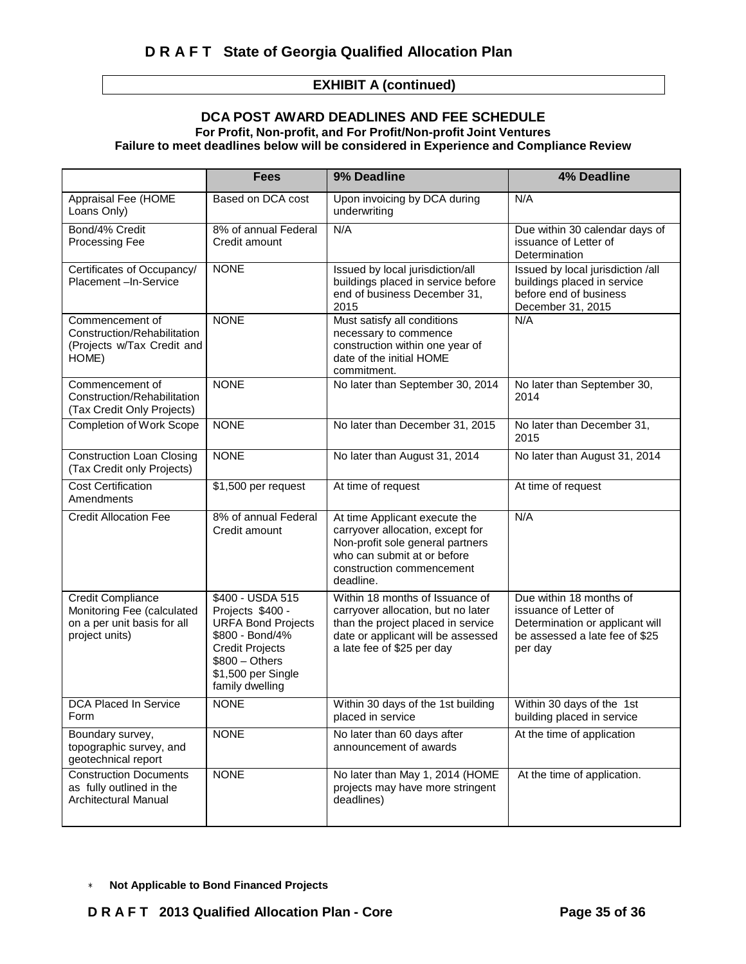### **EXHIBIT A (continued)**

#### **DCA POST AWARD DEADLINES AND FEE SCHEDULE For Profit, Non-profit, and For Profit/Non-profit Joint Ventures Failure to meet deadlines below will be considered in Experience and Compliance Review**

|                                                                                                         | <b>Fees</b>                                                                                                                                                                | 9% Deadline                                                                                                                                                                     | <b>4% Deadline</b>                                                                                                               |
|---------------------------------------------------------------------------------------------------------|----------------------------------------------------------------------------------------------------------------------------------------------------------------------------|---------------------------------------------------------------------------------------------------------------------------------------------------------------------------------|----------------------------------------------------------------------------------------------------------------------------------|
| Appraisal Fee (HOME<br>Loans Only)                                                                      | Based on DCA cost                                                                                                                                                          | Upon invoicing by DCA during<br>underwriting                                                                                                                                    | N/A                                                                                                                              |
| Bond/4% Credit<br><b>Processing Fee</b>                                                                 | 8% of annual Federal<br>Credit amount                                                                                                                                      | N/A                                                                                                                                                                             | Due within 30 calendar days of<br>issuance of Letter of<br>Determination                                                         |
| Certificates of Occupancy/<br>Placement-In-Service                                                      | <b>NONE</b>                                                                                                                                                                | Issued by local jurisdiction/all<br>buildings placed in service before<br>end of business December 31,<br>2015                                                                  | Issued by local jurisdiction /all<br>buildings placed in service<br>before end of business<br>December 31, 2015                  |
| Commencement of<br>Construction/Rehabilitation<br>(Projects w/Tax Credit and<br>HOME)                   | <b>NONE</b>                                                                                                                                                                | Must satisfy all conditions<br>necessary to commence<br>construction within one year of<br>date of the initial HOME<br>commitment.                                              | N/A                                                                                                                              |
| Commencement of<br>Construction/Rehabilitation<br>(Tax Credit Only Projects)                            | <b>NONE</b>                                                                                                                                                                | No later than September 30, 2014                                                                                                                                                | No later than September 30,<br>2014                                                                                              |
| <b>Completion of Work Scope</b>                                                                         | <b>NONE</b>                                                                                                                                                                | No later than December 31, 2015                                                                                                                                                 | No later than December 31,<br>2015                                                                                               |
| <b>Construction Loan Closing</b><br>(Tax Credit only Projects)                                          | <b>NONE</b>                                                                                                                                                                | No later than August 31, 2014                                                                                                                                                   | No later than August 31, 2014                                                                                                    |
| <b>Cost Certification</b><br>Amendments                                                                 | \$1,500 per request                                                                                                                                                        | At time of request                                                                                                                                                              | At time of request                                                                                                               |
| <b>Credit Allocation Fee</b>                                                                            | 8% of annual Federal<br>Credit amount                                                                                                                                      | At time Applicant execute the<br>carryover allocation, except for<br>Non-profit sole general partners<br>who can submit at or before<br>construction commencement<br>deadline.  | N/A                                                                                                                              |
| <b>Credit Compliance</b><br>Monitoring Fee (calculated<br>on a per unit basis for all<br>project units) | \$400 - USDA 515<br>Projects \$400 -<br><b>URFA Bond Projects</b><br>\$800 - Bond/4%<br><b>Credit Projects</b><br>$$800 - Others$<br>\$1,500 per Single<br>family dwelling | Within 18 months of Issuance of<br>carryover allocation, but no later<br>than the project placed in service<br>date or applicant will be assessed<br>a late fee of \$25 per day | Due within 18 months of<br>issuance of Letter of<br>Determination or applicant will<br>be assessed a late fee of \$25<br>per day |
| DCA Placed In Service<br>Form                                                                           | <b>NONE</b>                                                                                                                                                                | Within 30 days of the 1st building<br>placed in service                                                                                                                         | Within 30 days of the 1st<br>building placed in service                                                                          |
| Boundary survey,<br>topographic survey, and<br>geotechnical report                                      | <b>NONE</b>                                                                                                                                                                | No later than 60 days after<br>announcement of awards                                                                                                                           | At the time of application                                                                                                       |
| <b>Construction Documents</b><br>as fully outlined in the<br>Architectural Manual                       | <b>NONE</b>                                                                                                                                                                | No later than May 1, 2014 (HOME<br>projects may have more stringent<br>deadlines)                                                                                               | At the time of application.                                                                                                      |